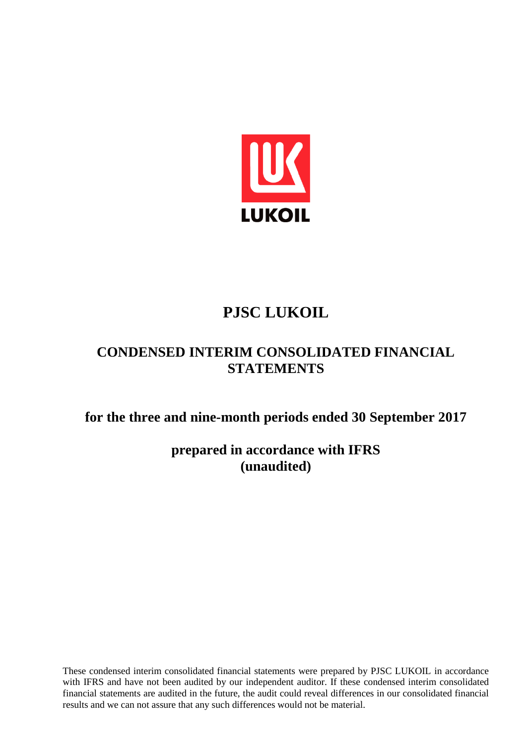

# **PJSC LUKOIL**

## **CONDENSED INTERIM CONSOLIDATED FINANCIAL STATEMENTS**

**for the three and nine-month periods ended 30 September 2017**

**prepared in accordance with IFRS (unaudited)**

These condensed interim consolidated financial statements were prepared by PJSC LUKOIL in accordance with IFRS and have not been audited by our independent auditor. If these condensed interim consolidated financial statements are audited in the future, the audit could reveal differences in our consolidated financial results and we can not assure that any such differences would not be material.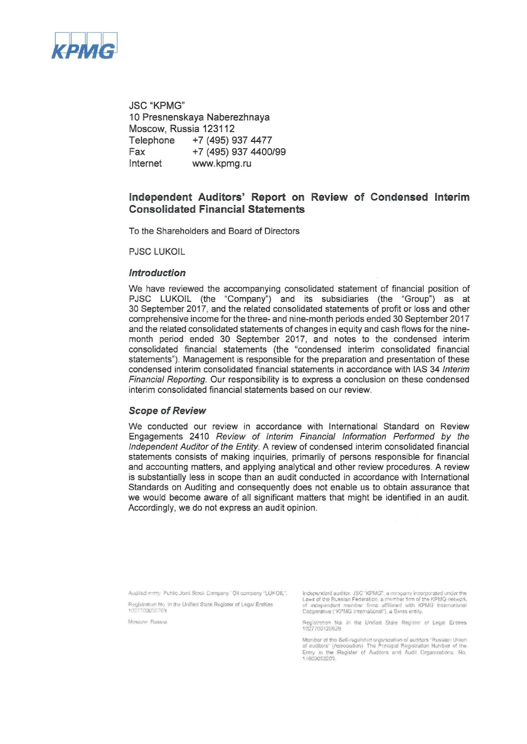

**JSC "KPMG"** 10 Presnenskaya Naberezhnaya Moscow, Russia 123112 +7 (495) 937 4477 Telephone Fax +7 (495) 937 4400/99 Internet www.kpmg.ru

## Independent Auditors' Report on Review of Condensed Interim **Consolidated Financial Statements**

To the Shareholders and Board of Directors

**PJSC LUKOIL** 

#### **Introduction**

We have reviewed the accompanying consolidated statement of financial position of PJSC LUKOIL (the "Company") and its subsidiaries (the "Group") as at 30 September 2017, and the related consolidated statements of profit or loss and other comprehensive income for the three- and nine-month periods ended 30 September 2017 and the related consolidated statements of changes in equity and cash flows for the ninemonth period ended 30 September 2017, and notes to the condensed interim consolidated financial statements (the "condensed interim consolidated financial statements"). Management is responsible for the preparation and presentation of these condensed interim consolidated financial statements in accordance with IAS 34 Interim Financial Reporting. Our responsibility is to express a conclusion on these condensed interim consolidated financial statements based on our review.

#### **Scope of Review**

We conducted our review in accordance with International Standard on Review Engagements 2410 Review of Interim Financial Information Performed by the Independent Auditor of the Entity. A review of condensed interim consolidated financial statements consists of making inquiries, primarily of persons responsible for financial and accounting matters, and applying analytical and other review procedures. A review is substantially less in scope than an audit conducted in accordance with International Standards on Auditing and consequently does not enable us to obtain assurance that we would become aware of all significant matters that might be identified in an audit. Accordingly, we do not express an audit opinion.

Audited entity. Public Joint Stock Company "Oil company "LUKOIL".

Registration No. In the Unified State Register of Legal Entities 7700035769

Moscow Russia

Independent auditor. JSC "KPMG", a company incorporated under the Laws of the Russian Federation, a member firm of the KPMG network<br>of independent member firms affiliated with KPMG International Cooperative ('KPMG International'), a Swiss entity.

Registration No. in the Unified State Register of Legal Entities

Member of the Self-regulated organization of auditors "Russian Union<br>of auditors" (Association). The Principal Registration Number of the Entry in the Register of Auditors and Audit Organisations. No. 116030532003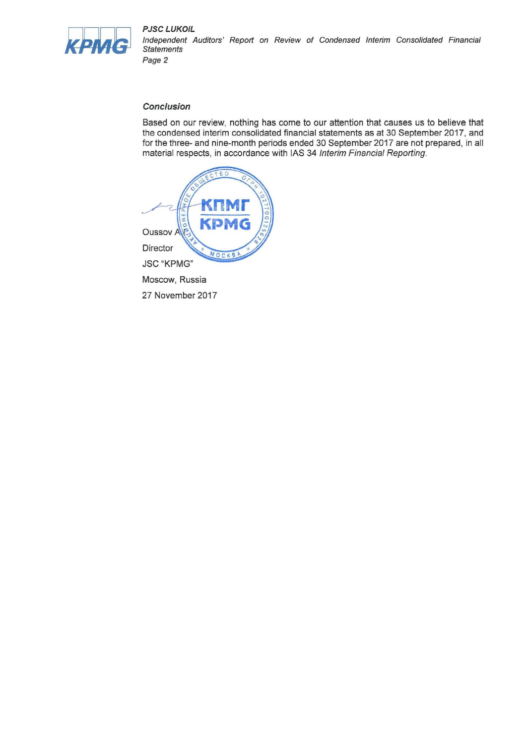

**PJSC LUKOIL** Independent Auditors' Report on Review of Condensed Interim Consolidated Financial **Statements** Page 2

#### **Conclusion**

Based on our review, nothing has come to our attention that causes us to believe that the condensed interim consolidated financial statements as at 30 September 2017, and for the three- and nine-month periods ended 30 September 2017 are not prepared, in all material respects, in accordance with IAS 34 Interim Financial Reporting.

Oussov A Director MOCKB **JSC "KPMG"** Moscow, Russia 27 November 2017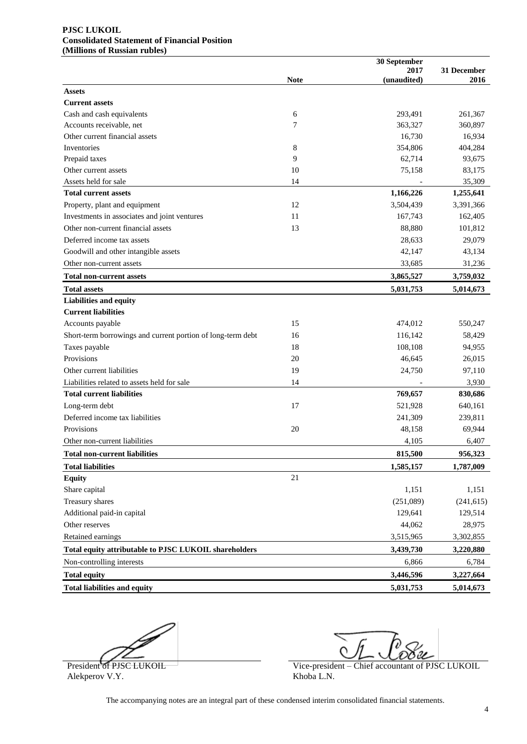#### **PJSC LUKOIL Consolidated Statement of Financial Position (Millions of Russian rubles)**

|                                                             |             | 30 September |             |
|-------------------------------------------------------------|-------------|--------------|-------------|
|                                                             |             | 2017         | 31 December |
|                                                             | <b>Note</b> | (unaudited)  | 2016        |
| <b>Assets</b>                                               |             |              |             |
| <b>Current assets</b>                                       |             |              |             |
| Cash and cash equivalents                                   | 6           | 293,491      | 261,367     |
| Accounts receivable, net                                    | 7           | 363,327      | 360,897     |
| Other current financial assets                              |             | 16,730       | 16,934      |
| <b>Inventories</b>                                          | 8           | 354,806      | 404,284     |
| Prepaid taxes                                               | 9           | 62,714       | 93,675      |
| Other current assets                                        | 10          | 75,158       | 83,175      |
| Assets held for sale                                        | 14          |              | 35,309      |
| <b>Total current assets</b>                                 |             | 1,166,226    | 1,255,641   |
| Property, plant and equipment                               | 12          | 3,504,439    | 3,391,366   |
| Investments in associates and joint ventures                | 11          | 167,743      | 162,405     |
| Other non-current financial assets                          | 13          | 88,880       | 101,812     |
| Deferred income tax assets                                  |             | 28,633       | 29,079      |
| Goodwill and other intangible assets                        |             | 42,147       | 43,134      |
| Other non-current assets                                    |             | 33,685       | 31,236      |
| <b>Total non-current assets</b>                             |             | 3,865,527    | 3,759,032   |
| <b>Total assets</b>                                         |             | 5,031,753    | 5,014,673   |
| <b>Liabilities and equity</b>                               |             |              |             |
| <b>Current liabilities</b>                                  |             |              |             |
| Accounts payable                                            | 15          | 474,012      | 550,247     |
| Short-term borrowings and current portion of long-term debt | 16          | 116,142      | 58,429      |
| Taxes payable                                               | 18          | 108,108      | 94,955      |
| Provisions                                                  | 20          | 46,645       | 26,015      |
| Other current liabilities                                   | 19          | 24,750       | 97,110      |
| Liabilities related to assets held for sale                 | 14          |              | 3,930       |
| <b>Total current liabilities</b>                            |             | 769,657      | 830,686     |
| Long-term debt                                              | 17          | 521,928      | 640,161     |
| Deferred income tax liabilities                             |             | 241,309      | 239,811     |
| Provisions                                                  | 20          | 48,158       | 69,944      |
| Other non-current liabilities                               |             | 4,105        | 6,407       |
| Total non-current liabilities                               |             | 815,500      | 956,323     |
| <b>Total liabilities</b>                                    |             | 1,585,157    | 1,787,009   |
| <b>Equity</b>                                               | 21          |              |             |
| Share capital                                               |             | 1,151        | 1,151       |
| Treasury shares                                             |             | (251,089)    | (241, 615)  |
| Additional paid-in capital                                  |             | 129,641      | 129,514     |
| Other reserves                                              |             | 44,062       | 28,975      |
| Retained earnings                                           |             | 3,515,965    | 3,302,855   |
| Total equity attributable to PJSC LUKOIL shareholders       |             | 3,439,730    | 3,220,880   |
| Non-controlling interests                                   |             | 6,866        | 6,784       |
| <b>Total equity</b>                                         |             | 3,446,596    | 3,227,664   |
| <b>Total liabilities and equity</b>                         |             | 5,031,753    | 5,014,673   |

Alekperov V.Y.

President of PJSC LUKOIL<br>Alekperov V.Y.<br>Khoba L.N.

The accompanying notes are an integral part of these condensed interim consolidated financial statements.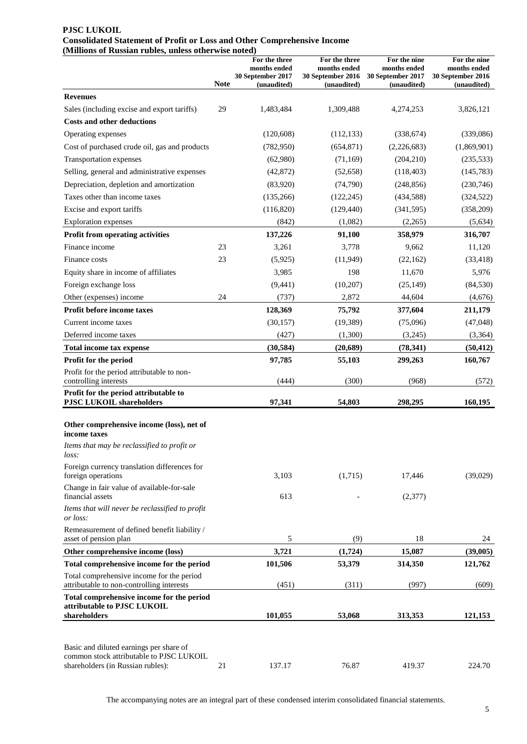#### **PJSC LUKOIL Consolidated Statement of Profit or Loss and Other Comprehensive Income (Millions of Russian rubles, unless otherwise noted)**

|                                                                                                                          | <b>Note</b> | For the three<br>months ended<br>30 September 2017<br>(unaudited) | For the three<br>months ended<br>30 September 2016<br>(unaudited) | For the nine<br>months ended<br>30 September 2017<br>(unaudited) | For the nine<br>months ended<br>30 September 2016<br>(unaudited) |
|--------------------------------------------------------------------------------------------------------------------------|-------------|-------------------------------------------------------------------|-------------------------------------------------------------------|------------------------------------------------------------------|------------------------------------------------------------------|
| <b>Revenues</b>                                                                                                          |             |                                                                   |                                                                   |                                                                  |                                                                  |
| Sales (including excise and export tariffs)                                                                              | 29          | 1,483,484                                                         | 1,309,488                                                         | 4,274,253                                                        | 3,826,121                                                        |
| <b>Costs and other deductions</b>                                                                                        |             |                                                                   |                                                                   |                                                                  |                                                                  |
| Operating expenses                                                                                                       |             | (120, 608)                                                        | (112, 133)                                                        | (338,674)                                                        | (339,086)                                                        |
| Cost of purchased crude oil, gas and products                                                                            |             | (782, 950)                                                        | (654, 871)                                                        | (2,226,683)                                                      | (1,869,901)                                                      |
| Transportation expenses                                                                                                  |             | (62,980)                                                          | (71, 169)                                                         | (204, 210)                                                       | (235, 533)                                                       |
| Selling, general and administrative expenses                                                                             |             | (42, 872)                                                         | (52, 658)                                                         | (118, 403)                                                       | (145, 783)                                                       |
| Depreciation, depletion and amortization                                                                                 |             | (83,920)                                                          | (74,790)                                                          | (248, 856)                                                       | (230,746)                                                        |
| Taxes other than income taxes                                                                                            |             | (135, 266)                                                        | (122, 245)                                                        | (434,588)                                                        | (324, 522)                                                       |
| Excise and export tariffs                                                                                                |             | (116,820)                                                         | (129, 440)                                                        | (341, 595)                                                       | (358,209)                                                        |
| <b>Exploration</b> expenses                                                                                              |             | (842)                                                             | (1,082)                                                           | (2,265)                                                          | (5,634)                                                          |
| Profit from operating activities                                                                                         |             | 137,226                                                           | 91,100                                                            | 358,979                                                          | 316,707                                                          |
| Finance income                                                                                                           | 23          | 3,261                                                             | 3,778                                                             | 9,662                                                            | 11,120                                                           |
| Finance costs                                                                                                            | 23          | (5,925)                                                           | (11,949)                                                          | (22, 162)                                                        | (33, 418)                                                        |
| Equity share in income of affiliates                                                                                     |             | 3,985                                                             | 198                                                               | 11,670                                                           | 5,976                                                            |
| Foreign exchange loss                                                                                                    |             | (9,441)                                                           | (10,207)                                                          | (25, 149)                                                        | (84, 530)                                                        |
| Other (expenses) income                                                                                                  | 24          | (737)                                                             | 2,872                                                             | 44,604                                                           | (4,676)                                                          |
| Profit before income taxes                                                                                               |             | 128,369                                                           | 75,792                                                            | 377,604                                                          | 211,179                                                          |
| Current income taxes                                                                                                     |             | (30, 157)                                                         | (19, 389)                                                         | (75,096)                                                         | (47, 048)                                                        |
| Deferred income taxes                                                                                                    |             | (427)                                                             | (1,300)                                                           | (3,245)                                                          | (3,364)                                                          |
| Total income tax expense                                                                                                 |             | (30, 584)                                                         | (20, 689)                                                         | (78, 341)                                                        | (50, 412)                                                        |
| Profit for the period                                                                                                    |             | 97,785                                                            | 55,103                                                            | 299,263                                                          | 160,767                                                          |
| Profit for the period attributable to non-<br>controlling interests                                                      |             | (444)                                                             | (300)                                                             | (968)                                                            | (572)                                                            |
| Profit for the period attributable to<br><b>PJSC LUKOIL shareholders</b>                                                 |             | 97,341                                                            | 54,803                                                            | 298,295                                                          | 160,195                                                          |
| Other comprehensive income (loss), net of<br>income taxes<br>Items that may be reclassified to profit or                 |             |                                                                   |                                                                   |                                                                  |                                                                  |
| loss:<br>Foreign currency translation differences for<br>foreign operations                                              |             | 3,103                                                             | (1,715)                                                           | 17,446                                                           | (39,029)                                                         |
| Change in fair value of available-for-sale<br>financial assets                                                           |             | 613                                                               |                                                                   | (2,377)                                                          |                                                                  |
| Items that will never be reclassified to profit<br>or loss:                                                              |             |                                                                   |                                                                   |                                                                  |                                                                  |
| Remeasurement of defined benefit liability /<br>asset of pension plan                                                    |             | 5                                                                 | (9)                                                               | 18                                                               | 24                                                               |
| Other comprehensive income (loss)                                                                                        |             | 3,721                                                             | (1,724)                                                           | 15,087                                                           | (39,005)                                                         |
| Total comprehensive income for the period                                                                                |             | 101,506                                                           | 53,379                                                            | 314,350                                                          | 121,762                                                          |
| Total comprehensive income for the period<br>attributable to non-controlling interests                                   |             | (451)                                                             | (311)                                                             | (997)                                                            | (609)                                                            |
| Total comprehensive income for the period<br>attributable to PJSC LUKOIL<br>shareholders                                 |             | 101,055                                                           | 53,068                                                            | 313,353                                                          | 121,153                                                          |
| Basic and diluted earnings per share of<br>common stock attributable to PJSC LUKOIL<br>shareholders (in Russian rubles): | 21          | 137.17                                                            | 76.87                                                             | 419.37                                                           | 224.70                                                           |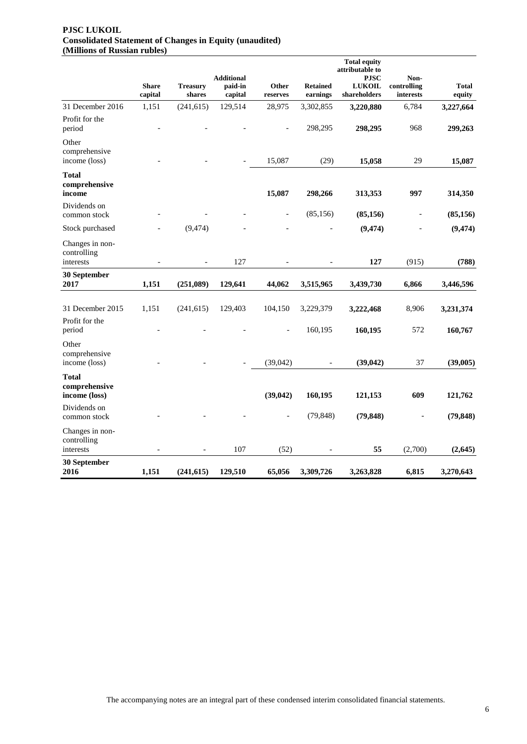#### **PJSC LUKOIL Consolidated Statement of Changes in Equity (unaudited) (Millions of Russian rubles)**

|                                                |                         |                           |                                         |                   |                             | <b>Total equity</b><br>attributable to       |                                  |                        |
|------------------------------------------------|-------------------------|---------------------------|-----------------------------------------|-------------------|-----------------------------|----------------------------------------------|----------------------------------|------------------------|
|                                                | <b>Share</b><br>capital | <b>Treasury</b><br>shares | <b>Additional</b><br>paid-in<br>capital | Other<br>reserves | <b>Retained</b><br>earnings | <b>PJSC</b><br><b>LUKOIL</b><br>shareholders | Non-<br>controlling<br>interests | <b>Total</b><br>equity |
| 31 December 2016                               | 1,151                   | (241, 615)                | 129,514                                 | 28,975            | 3,302,855                   | 3,220,880                                    | 6,784                            | 3,227,664              |
| Profit for the<br>period                       |                         |                           |                                         |                   | 298,295                     | 298,295                                      | 968                              | 299,263                |
| Other<br>comprehensive<br>income (loss)        |                         |                           |                                         | 15,087            | (29)                        | 15,058                                       | 29                               | 15,087                 |
| <b>Total</b><br>comprehensive<br>income        |                         |                           |                                         | 15,087            | 298,266                     | 313,353                                      | 997                              | 314,350                |
| Dividends on<br>common stock                   |                         |                           |                                         |                   | (85, 156)                   | (85, 156)                                    |                                  | (85, 156)              |
| Stock purchased                                |                         | (9, 474)                  |                                         |                   |                             | (9, 474)                                     |                                  | (9, 474)               |
| Changes in non-<br>controlling<br>interests    |                         |                           | 127                                     |                   |                             | 127                                          | (915)                            | (788)                  |
| 30 September<br>2017                           | 1,151                   | (251,089)                 | 129,641                                 | 44,062            | 3,515,965                   | 3,439,730                                    | 6,866                            | 3,446,596              |
|                                                |                         |                           |                                         |                   |                             |                                              |                                  |                        |
| 31 December 2015                               | 1,151                   | (241, 615)                | 129,403                                 | 104,150           | 3,229,379                   | 3,222,468                                    | 8,906                            | 3,231,374              |
| Profit for the<br>period                       |                         |                           |                                         |                   | 160,195                     | 160,195                                      | 572                              | 160,767                |
| Other<br>comprehensive<br>income (loss)        |                         |                           |                                         | (39,042)          |                             | (39, 042)                                    | 37                               | (39,005)               |
| <b>Total</b><br>comprehensive<br>income (loss) |                         |                           |                                         | (39, 042)         | 160,195                     | 121,153                                      | 609                              | 121,762                |
| Dividends on<br>common stock                   |                         |                           |                                         |                   | (79, 848)                   | (79, 848)                                    |                                  | (79, 848)              |
| Changes in non-<br>controlling<br>interests    |                         |                           | 107                                     | (52)              |                             | 55                                           | (2,700)                          | (2,645)                |
| 30 September<br>2016                           | 1,151                   | (241, 615)                | 129,510                                 | 65,056            | 3,309,726                   | 3,263,828                                    | 6,815                            | 3,270,643              |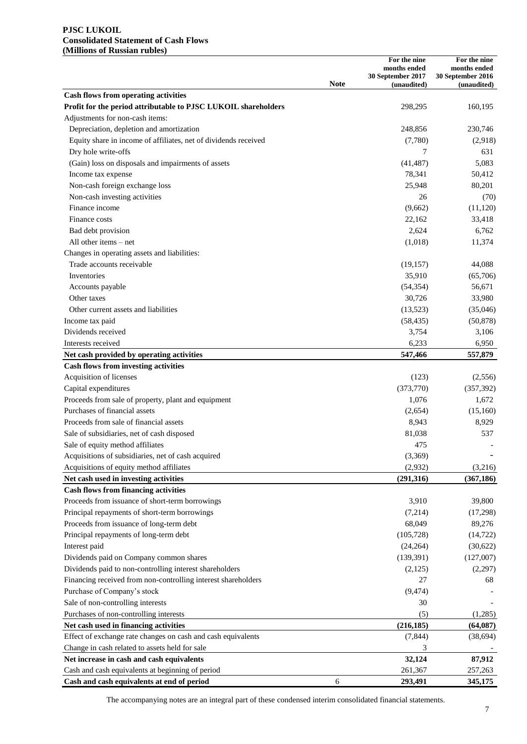#### **PJSC LUKOIL Consolidated Statement of Cash Flows (Millions of Russian rubles)**

| <b>Cash flows from operating activities</b><br>Profit for the period attributable to PJSC LUKOIL shareholders<br>298,295<br>160,195<br>Adjustments for non-cash items:<br>Depreciation, depletion and amortization<br>248,856<br>230,746<br>Equity share in income of affiliates, net of dividends received<br>(7,780)<br>(2,918)<br>7<br>Dry hole write-offs<br>631<br>(41, 487)<br>5,083<br>(Gain) loss on disposals and impairments of assets<br>78,341<br>50,412<br>Income tax expense<br>Non-cash foreign exchange loss<br>25,948<br>80,201<br>Non-cash investing activities<br>26<br>(70)<br>Finance income<br>(9,662)<br>(11, 120)<br>Finance costs<br>33,418<br>22,162<br>2,624<br>6,762<br>Bad debt provision<br>All other items – net<br>(1,018)<br>11,374<br>Changes in operating assets and liabilities:<br>Trade accounts receivable<br>(19, 157)<br>44,088<br>Inventories<br>35,910<br>(65,706)<br>(54, 354)<br>56,671<br>Accounts payable<br>30,726<br>33,980<br>Other taxes<br>(13,523)<br>Other current assets and liabilities<br>(35,046)<br>(50, 878)<br>Income tax paid<br>(58, 435)<br>Dividends received<br>3,106<br>3,754<br>6,233<br>Interests received<br>6,950<br>547,466<br>Net cash provided by operating activities<br>557,879<br><b>Cash flows from investing activities</b><br>Acquisition of licenses<br>(123)<br>(2,556)<br>(373,770)<br>Capital expenditures<br>(357, 392)<br>1,076<br>1,672<br>Proceeds from sale of property, plant and equipment<br>Purchases of financial assets<br>(2,654)<br>(15,160)<br>Proceeds from sale of financial assets<br>8,943<br>8,929<br>Sale of subsidiaries, net of cash disposed<br>81,038<br>537<br>475<br>Sale of equity method affiliates<br>Acquisitions of subsidiaries, net of cash acquired<br>(3,369)<br>Acquisitions of equity method affiliates<br>(2,932)<br>(3,216)<br>Net cash used in investing activities<br>(291, 316)<br>(367, 186)<br><b>Cash flows from financing activities</b><br>Proceeds from issuance of short-term borrowings<br>3,910<br>39,800<br>Principal repayments of short-term borrowings<br>(7,214)<br>(17,298)<br>Proceeds from issuance of long-term debt<br>68,049<br>89,276<br>Principal repayments of long-term debt<br>(105, 728)<br>(14, 722)<br>Interest paid<br>(24, 264)<br>(30,622)<br>(139, 391)<br>(127,007)<br>Dividends paid on Company common shares<br>Dividends paid to non-controlling interest shareholders<br>(2,125)<br>(2,297)<br>Financing received from non-controlling interest shareholders<br>27<br>68<br>Purchase of Company's stock<br>(9, 474)<br>Sale of non-controlling interests<br>30<br>Purchases of non-controlling interests<br>(5)<br>(1,285)<br>Net cash used in financing activities<br>(216, 185)<br>(64,087)<br>Effect of exchange rate changes on cash and cash equivalents<br>(7, 844)<br>(38,694)<br>Change in cash related to assets held for sale<br>3<br>Net increase in cash and cash equivalents<br>32,124<br>87,912<br>Cash and cash equivalents at beginning of period<br>261,367<br>257,263 |                                            | <b>Note</b> | For the nine<br>months ended<br>30 September 2017<br>(unaudited) | For the nine<br>months ended<br>30 September 2016<br>(unaudited) |
|------------------------------------------------------------------------------------------------------------------------------------------------------------------------------------------------------------------------------------------------------------------------------------------------------------------------------------------------------------------------------------------------------------------------------------------------------------------------------------------------------------------------------------------------------------------------------------------------------------------------------------------------------------------------------------------------------------------------------------------------------------------------------------------------------------------------------------------------------------------------------------------------------------------------------------------------------------------------------------------------------------------------------------------------------------------------------------------------------------------------------------------------------------------------------------------------------------------------------------------------------------------------------------------------------------------------------------------------------------------------------------------------------------------------------------------------------------------------------------------------------------------------------------------------------------------------------------------------------------------------------------------------------------------------------------------------------------------------------------------------------------------------------------------------------------------------------------------------------------------------------------------------------------------------------------------------------------------------------------------------------------------------------------------------------------------------------------------------------------------------------------------------------------------------------------------------------------------------------------------------------------------------------------------------------------------------------------------------------------------------------------------------------------------------------------------------------------------------------------------------------------------------------------------------------------------------------------------------------------------------------------------------------------------------------------------------------------------------------------------------------------------------------------------------------------------------------------------------------------------------------------------------------------------------------------------------------------------------------------------------------------------------------------------------------------|--------------------------------------------|-------------|------------------------------------------------------------------|------------------------------------------------------------------|
|                                                                                                                                                                                                                                                                                                                                                                                                                                                                                                                                                                                                                                                                                                                                                                                                                                                                                                                                                                                                                                                                                                                                                                                                                                                                                                                                                                                                                                                                                                                                                                                                                                                                                                                                                                                                                                                                                                                                                                                                                                                                                                                                                                                                                                                                                                                                                                                                                                                                                                                                                                                                                                                                                                                                                                                                                                                                                                                                                                                                                                                            |                                            |             |                                                                  |                                                                  |
|                                                                                                                                                                                                                                                                                                                                                                                                                                                                                                                                                                                                                                                                                                                                                                                                                                                                                                                                                                                                                                                                                                                                                                                                                                                                                                                                                                                                                                                                                                                                                                                                                                                                                                                                                                                                                                                                                                                                                                                                                                                                                                                                                                                                                                                                                                                                                                                                                                                                                                                                                                                                                                                                                                                                                                                                                                                                                                                                                                                                                                                            |                                            |             |                                                                  |                                                                  |
|                                                                                                                                                                                                                                                                                                                                                                                                                                                                                                                                                                                                                                                                                                                                                                                                                                                                                                                                                                                                                                                                                                                                                                                                                                                                                                                                                                                                                                                                                                                                                                                                                                                                                                                                                                                                                                                                                                                                                                                                                                                                                                                                                                                                                                                                                                                                                                                                                                                                                                                                                                                                                                                                                                                                                                                                                                                                                                                                                                                                                                                            |                                            |             |                                                                  |                                                                  |
|                                                                                                                                                                                                                                                                                                                                                                                                                                                                                                                                                                                                                                                                                                                                                                                                                                                                                                                                                                                                                                                                                                                                                                                                                                                                                                                                                                                                                                                                                                                                                                                                                                                                                                                                                                                                                                                                                                                                                                                                                                                                                                                                                                                                                                                                                                                                                                                                                                                                                                                                                                                                                                                                                                                                                                                                                                                                                                                                                                                                                                                            |                                            |             |                                                                  |                                                                  |
|                                                                                                                                                                                                                                                                                                                                                                                                                                                                                                                                                                                                                                                                                                                                                                                                                                                                                                                                                                                                                                                                                                                                                                                                                                                                                                                                                                                                                                                                                                                                                                                                                                                                                                                                                                                                                                                                                                                                                                                                                                                                                                                                                                                                                                                                                                                                                                                                                                                                                                                                                                                                                                                                                                                                                                                                                                                                                                                                                                                                                                                            |                                            |             |                                                                  |                                                                  |
|                                                                                                                                                                                                                                                                                                                                                                                                                                                                                                                                                                                                                                                                                                                                                                                                                                                                                                                                                                                                                                                                                                                                                                                                                                                                                                                                                                                                                                                                                                                                                                                                                                                                                                                                                                                                                                                                                                                                                                                                                                                                                                                                                                                                                                                                                                                                                                                                                                                                                                                                                                                                                                                                                                                                                                                                                                                                                                                                                                                                                                                            |                                            |             |                                                                  |                                                                  |
|                                                                                                                                                                                                                                                                                                                                                                                                                                                                                                                                                                                                                                                                                                                                                                                                                                                                                                                                                                                                                                                                                                                                                                                                                                                                                                                                                                                                                                                                                                                                                                                                                                                                                                                                                                                                                                                                                                                                                                                                                                                                                                                                                                                                                                                                                                                                                                                                                                                                                                                                                                                                                                                                                                                                                                                                                                                                                                                                                                                                                                                            |                                            |             |                                                                  |                                                                  |
|                                                                                                                                                                                                                                                                                                                                                                                                                                                                                                                                                                                                                                                                                                                                                                                                                                                                                                                                                                                                                                                                                                                                                                                                                                                                                                                                                                                                                                                                                                                                                                                                                                                                                                                                                                                                                                                                                                                                                                                                                                                                                                                                                                                                                                                                                                                                                                                                                                                                                                                                                                                                                                                                                                                                                                                                                                                                                                                                                                                                                                                            |                                            |             |                                                                  |                                                                  |
|                                                                                                                                                                                                                                                                                                                                                                                                                                                                                                                                                                                                                                                                                                                                                                                                                                                                                                                                                                                                                                                                                                                                                                                                                                                                                                                                                                                                                                                                                                                                                                                                                                                                                                                                                                                                                                                                                                                                                                                                                                                                                                                                                                                                                                                                                                                                                                                                                                                                                                                                                                                                                                                                                                                                                                                                                                                                                                                                                                                                                                                            |                                            |             |                                                                  |                                                                  |
|                                                                                                                                                                                                                                                                                                                                                                                                                                                                                                                                                                                                                                                                                                                                                                                                                                                                                                                                                                                                                                                                                                                                                                                                                                                                                                                                                                                                                                                                                                                                                                                                                                                                                                                                                                                                                                                                                                                                                                                                                                                                                                                                                                                                                                                                                                                                                                                                                                                                                                                                                                                                                                                                                                                                                                                                                                                                                                                                                                                                                                                            |                                            |             |                                                                  |                                                                  |
|                                                                                                                                                                                                                                                                                                                                                                                                                                                                                                                                                                                                                                                                                                                                                                                                                                                                                                                                                                                                                                                                                                                                                                                                                                                                                                                                                                                                                                                                                                                                                                                                                                                                                                                                                                                                                                                                                                                                                                                                                                                                                                                                                                                                                                                                                                                                                                                                                                                                                                                                                                                                                                                                                                                                                                                                                                                                                                                                                                                                                                                            |                                            |             |                                                                  |                                                                  |
|                                                                                                                                                                                                                                                                                                                                                                                                                                                                                                                                                                                                                                                                                                                                                                                                                                                                                                                                                                                                                                                                                                                                                                                                                                                                                                                                                                                                                                                                                                                                                                                                                                                                                                                                                                                                                                                                                                                                                                                                                                                                                                                                                                                                                                                                                                                                                                                                                                                                                                                                                                                                                                                                                                                                                                                                                                                                                                                                                                                                                                                            |                                            |             |                                                                  |                                                                  |
|                                                                                                                                                                                                                                                                                                                                                                                                                                                                                                                                                                                                                                                                                                                                                                                                                                                                                                                                                                                                                                                                                                                                                                                                                                                                                                                                                                                                                                                                                                                                                                                                                                                                                                                                                                                                                                                                                                                                                                                                                                                                                                                                                                                                                                                                                                                                                                                                                                                                                                                                                                                                                                                                                                                                                                                                                                                                                                                                                                                                                                                            |                                            |             |                                                                  |                                                                  |
|                                                                                                                                                                                                                                                                                                                                                                                                                                                                                                                                                                                                                                                                                                                                                                                                                                                                                                                                                                                                                                                                                                                                                                                                                                                                                                                                                                                                                                                                                                                                                                                                                                                                                                                                                                                                                                                                                                                                                                                                                                                                                                                                                                                                                                                                                                                                                                                                                                                                                                                                                                                                                                                                                                                                                                                                                                                                                                                                                                                                                                                            |                                            |             |                                                                  |                                                                  |
|                                                                                                                                                                                                                                                                                                                                                                                                                                                                                                                                                                                                                                                                                                                                                                                                                                                                                                                                                                                                                                                                                                                                                                                                                                                                                                                                                                                                                                                                                                                                                                                                                                                                                                                                                                                                                                                                                                                                                                                                                                                                                                                                                                                                                                                                                                                                                                                                                                                                                                                                                                                                                                                                                                                                                                                                                                                                                                                                                                                                                                                            |                                            |             |                                                                  |                                                                  |
|                                                                                                                                                                                                                                                                                                                                                                                                                                                                                                                                                                                                                                                                                                                                                                                                                                                                                                                                                                                                                                                                                                                                                                                                                                                                                                                                                                                                                                                                                                                                                                                                                                                                                                                                                                                                                                                                                                                                                                                                                                                                                                                                                                                                                                                                                                                                                                                                                                                                                                                                                                                                                                                                                                                                                                                                                                                                                                                                                                                                                                                            |                                            |             |                                                                  |                                                                  |
|                                                                                                                                                                                                                                                                                                                                                                                                                                                                                                                                                                                                                                                                                                                                                                                                                                                                                                                                                                                                                                                                                                                                                                                                                                                                                                                                                                                                                                                                                                                                                                                                                                                                                                                                                                                                                                                                                                                                                                                                                                                                                                                                                                                                                                                                                                                                                                                                                                                                                                                                                                                                                                                                                                                                                                                                                                                                                                                                                                                                                                                            |                                            |             |                                                                  |                                                                  |
|                                                                                                                                                                                                                                                                                                                                                                                                                                                                                                                                                                                                                                                                                                                                                                                                                                                                                                                                                                                                                                                                                                                                                                                                                                                                                                                                                                                                                                                                                                                                                                                                                                                                                                                                                                                                                                                                                                                                                                                                                                                                                                                                                                                                                                                                                                                                                                                                                                                                                                                                                                                                                                                                                                                                                                                                                                                                                                                                                                                                                                                            |                                            |             |                                                                  |                                                                  |
|                                                                                                                                                                                                                                                                                                                                                                                                                                                                                                                                                                                                                                                                                                                                                                                                                                                                                                                                                                                                                                                                                                                                                                                                                                                                                                                                                                                                                                                                                                                                                                                                                                                                                                                                                                                                                                                                                                                                                                                                                                                                                                                                                                                                                                                                                                                                                                                                                                                                                                                                                                                                                                                                                                                                                                                                                                                                                                                                                                                                                                                            |                                            |             |                                                                  |                                                                  |
|                                                                                                                                                                                                                                                                                                                                                                                                                                                                                                                                                                                                                                                                                                                                                                                                                                                                                                                                                                                                                                                                                                                                                                                                                                                                                                                                                                                                                                                                                                                                                                                                                                                                                                                                                                                                                                                                                                                                                                                                                                                                                                                                                                                                                                                                                                                                                                                                                                                                                                                                                                                                                                                                                                                                                                                                                                                                                                                                                                                                                                                            |                                            |             |                                                                  |                                                                  |
|                                                                                                                                                                                                                                                                                                                                                                                                                                                                                                                                                                                                                                                                                                                                                                                                                                                                                                                                                                                                                                                                                                                                                                                                                                                                                                                                                                                                                                                                                                                                                                                                                                                                                                                                                                                                                                                                                                                                                                                                                                                                                                                                                                                                                                                                                                                                                                                                                                                                                                                                                                                                                                                                                                                                                                                                                                                                                                                                                                                                                                                            |                                            |             |                                                                  |                                                                  |
|                                                                                                                                                                                                                                                                                                                                                                                                                                                                                                                                                                                                                                                                                                                                                                                                                                                                                                                                                                                                                                                                                                                                                                                                                                                                                                                                                                                                                                                                                                                                                                                                                                                                                                                                                                                                                                                                                                                                                                                                                                                                                                                                                                                                                                                                                                                                                                                                                                                                                                                                                                                                                                                                                                                                                                                                                                                                                                                                                                                                                                                            |                                            |             |                                                                  |                                                                  |
|                                                                                                                                                                                                                                                                                                                                                                                                                                                                                                                                                                                                                                                                                                                                                                                                                                                                                                                                                                                                                                                                                                                                                                                                                                                                                                                                                                                                                                                                                                                                                                                                                                                                                                                                                                                                                                                                                                                                                                                                                                                                                                                                                                                                                                                                                                                                                                                                                                                                                                                                                                                                                                                                                                                                                                                                                                                                                                                                                                                                                                                            |                                            |             |                                                                  |                                                                  |
|                                                                                                                                                                                                                                                                                                                                                                                                                                                                                                                                                                                                                                                                                                                                                                                                                                                                                                                                                                                                                                                                                                                                                                                                                                                                                                                                                                                                                                                                                                                                                                                                                                                                                                                                                                                                                                                                                                                                                                                                                                                                                                                                                                                                                                                                                                                                                                                                                                                                                                                                                                                                                                                                                                                                                                                                                                                                                                                                                                                                                                                            |                                            |             |                                                                  |                                                                  |
|                                                                                                                                                                                                                                                                                                                                                                                                                                                                                                                                                                                                                                                                                                                                                                                                                                                                                                                                                                                                                                                                                                                                                                                                                                                                                                                                                                                                                                                                                                                                                                                                                                                                                                                                                                                                                                                                                                                                                                                                                                                                                                                                                                                                                                                                                                                                                                                                                                                                                                                                                                                                                                                                                                                                                                                                                                                                                                                                                                                                                                                            |                                            |             |                                                                  |                                                                  |
|                                                                                                                                                                                                                                                                                                                                                                                                                                                                                                                                                                                                                                                                                                                                                                                                                                                                                                                                                                                                                                                                                                                                                                                                                                                                                                                                                                                                                                                                                                                                                                                                                                                                                                                                                                                                                                                                                                                                                                                                                                                                                                                                                                                                                                                                                                                                                                                                                                                                                                                                                                                                                                                                                                                                                                                                                                                                                                                                                                                                                                                            |                                            |             |                                                                  |                                                                  |
|                                                                                                                                                                                                                                                                                                                                                                                                                                                                                                                                                                                                                                                                                                                                                                                                                                                                                                                                                                                                                                                                                                                                                                                                                                                                                                                                                                                                                                                                                                                                                                                                                                                                                                                                                                                                                                                                                                                                                                                                                                                                                                                                                                                                                                                                                                                                                                                                                                                                                                                                                                                                                                                                                                                                                                                                                                                                                                                                                                                                                                                            |                                            |             |                                                                  |                                                                  |
|                                                                                                                                                                                                                                                                                                                                                                                                                                                                                                                                                                                                                                                                                                                                                                                                                                                                                                                                                                                                                                                                                                                                                                                                                                                                                                                                                                                                                                                                                                                                                                                                                                                                                                                                                                                                                                                                                                                                                                                                                                                                                                                                                                                                                                                                                                                                                                                                                                                                                                                                                                                                                                                                                                                                                                                                                                                                                                                                                                                                                                                            |                                            |             |                                                                  |                                                                  |
|                                                                                                                                                                                                                                                                                                                                                                                                                                                                                                                                                                                                                                                                                                                                                                                                                                                                                                                                                                                                                                                                                                                                                                                                                                                                                                                                                                                                                                                                                                                                                                                                                                                                                                                                                                                                                                                                                                                                                                                                                                                                                                                                                                                                                                                                                                                                                                                                                                                                                                                                                                                                                                                                                                                                                                                                                                                                                                                                                                                                                                                            |                                            |             |                                                                  |                                                                  |
|                                                                                                                                                                                                                                                                                                                                                                                                                                                                                                                                                                                                                                                                                                                                                                                                                                                                                                                                                                                                                                                                                                                                                                                                                                                                                                                                                                                                                                                                                                                                                                                                                                                                                                                                                                                                                                                                                                                                                                                                                                                                                                                                                                                                                                                                                                                                                                                                                                                                                                                                                                                                                                                                                                                                                                                                                                                                                                                                                                                                                                                            |                                            |             |                                                                  |                                                                  |
|                                                                                                                                                                                                                                                                                                                                                                                                                                                                                                                                                                                                                                                                                                                                                                                                                                                                                                                                                                                                                                                                                                                                                                                                                                                                                                                                                                                                                                                                                                                                                                                                                                                                                                                                                                                                                                                                                                                                                                                                                                                                                                                                                                                                                                                                                                                                                                                                                                                                                                                                                                                                                                                                                                                                                                                                                                                                                                                                                                                                                                                            |                                            |             |                                                                  |                                                                  |
|                                                                                                                                                                                                                                                                                                                                                                                                                                                                                                                                                                                                                                                                                                                                                                                                                                                                                                                                                                                                                                                                                                                                                                                                                                                                                                                                                                                                                                                                                                                                                                                                                                                                                                                                                                                                                                                                                                                                                                                                                                                                                                                                                                                                                                                                                                                                                                                                                                                                                                                                                                                                                                                                                                                                                                                                                                                                                                                                                                                                                                                            |                                            |             |                                                                  |                                                                  |
|                                                                                                                                                                                                                                                                                                                                                                                                                                                                                                                                                                                                                                                                                                                                                                                                                                                                                                                                                                                                                                                                                                                                                                                                                                                                                                                                                                                                                                                                                                                                                                                                                                                                                                                                                                                                                                                                                                                                                                                                                                                                                                                                                                                                                                                                                                                                                                                                                                                                                                                                                                                                                                                                                                                                                                                                                                                                                                                                                                                                                                                            |                                            |             |                                                                  |                                                                  |
|                                                                                                                                                                                                                                                                                                                                                                                                                                                                                                                                                                                                                                                                                                                                                                                                                                                                                                                                                                                                                                                                                                                                                                                                                                                                                                                                                                                                                                                                                                                                                                                                                                                                                                                                                                                                                                                                                                                                                                                                                                                                                                                                                                                                                                                                                                                                                                                                                                                                                                                                                                                                                                                                                                                                                                                                                                                                                                                                                                                                                                                            |                                            |             |                                                                  |                                                                  |
|                                                                                                                                                                                                                                                                                                                                                                                                                                                                                                                                                                                                                                                                                                                                                                                                                                                                                                                                                                                                                                                                                                                                                                                                                                                                                                                                                                                                                                                                                                                                                                                                                                                                                                                                                                                                                                                                                                                                                                                                                                                                                                                                                                                                                                                                                                                                                                                                                                                                                                                                                                                                                                                                                                                                                                                                                                                                                                                                                                                                                                                            |                                            |             |                                                                  |                                                                  |
|                                                                                                                                                                                                                                                                                                                                                                                                                                                                                                                                                                                                                                                                                                                                                                                                                                                                                                                                                                                                                                                                                                                                                                                                                                                                                                                                                                                                                                                                                                                                                                                                                                                                                                                                                                                                                                                                                                                                                                                                                                                                                                                                                                                                                                                                                                                                                                                                                                                                                                                                                                                                                                                                                                                                                                                                                                                                                                                                                                                                                                                            |                                            |             |                                                                  |                                                                  |
|                                                                                                                                                                                                                                                                                                                                                                                                                                                                                                                                                                                                                                                                                                                                                                                                                                                                                                                                                                                                                                                                                                                                                                                                                                                                                                                                                                                                                                                                                                                                                                                                                                                                                                                                                                                                                                                                                                                                                                                                                                                                                                                                                                                                                                                                                                                                                                                                                                                                                                                                                                                                                                                                                                                                                                                                                                                                                                                                                                                                                                                            |                                            |             |                                                                  |                                                                  |
|                                                                                                                                                                                                                                                                                                                                                                                                                                                                                                                                                                                                                                                                                                                                                                                                                                                                                                                                                                                                                                                                                                                                                                                                                                                                                                                                                                                                                                                                                                                                                                                                                                                                                                                                                                                                                                                                                                                                                                                                                                                                                                                                                                                                                                                                                                                                                                                                                                                                                                                                                                                                                                                                                                                                                                                                                                                                                                                                                                                                                                                            |                                            |             |                                                                  |                                                                  |
|                                                                                                                                                                                                                                                                                                                                                                                                                                                                                                                                                                                                                                                                                                                                                                                                                                                                                                                                                                                                                                                                                                                                                                                                                                                                                                                                                                                                                                                                                                                                                                                                                                                                                                                                                                                                                                                                                                                                                                                                                                                                                                                                                                                                                                                                                                                                                                                                                                                                                                                                                                                                                                                                                                                                                                                                                                                                                                                                                                                                                                                            |                                            |             |                                                                  |                                                                  |
|                                                                                                                                                                                                                                                                                                                                                                                                                                                                                                                                                                                                                                                                                                                                                                                                                                                                                                                                                                                                                                                                                                                                                                                                                                                                                                                                                                                                                                                                                                                                                                                                                                                                                                                                                                                                                                                                                                                                                                                                                                                                                                                                                                                                                                                                                                                                                                                                                                                                                                                                                                                                                                                                                                                                                                                                                                                                                                                                                                                                                                                            |                                            |             |                                                                  |                                                                  |
|                                                                                                                                                                                                                                                                                                                                                                                                                                                                                                                                                                                                                                                                                                                                                                                                                                                                                                                                                                                                                                                                                                                                                                                                                                                                                                                                                                                                                                                                                                                                                                                                                                                                                                                                                                                                                                                                                                                                                                                                                                                                                                                                                                                                                                                                                                                                                                                                                                                                                                                                                                                                                                                                                                                                                                                                                                                                                                                                                                                                                                                            |                                            |             |                                                                  |                                                                  |
|                                                                                                                                                                                                                                                                                                                                                                                                                                                                                                                                                                                                                                                                                                                                                                                                                                                                                                                                                                                                                                                                                                                                                                                                                                                                                                                                                                                                                                                                                                                                                                                                                                                                                                                                                                                                                                                                                                                                                                                                                                                                                                                                                                                                                                                                                                                                                                                                                                                                                                                                                                                                                                                                                                                                                                                                                                                                                                                                                                                                                                                            |                                            |             |                                                                  |                                                                  |
|                                                                                                                                                                                                                                                                                                                                                                                                                                                                                                                                                                                                                                                                                                                                                                                                                                                                                                                                                                                                                                                                                                                                                                                                                                                                                                                                                                                                                                                                                                                                                                                                                                                                                                                                                                                                                                                                                                                                                                                                                                                                                                                                                                                                                                                                                                                                                                                                                                                                                                                                                                                                                                                                                                                                                                                                                                                                                                                                                                                                                                                            |                                            |             |                                                                  |                                                                  |
|                                                                                                                                                                                                                                                                                                                                                                                                                                                                                                                                                                                                                                                                                                                                                                                                                                                                                                                                                                                                                                                                                                                                                                                                                                                                                                                                                                                                                                                                                                                                                                                                                                                                                                                                                                                                                                                                                                                                                                                                                                                                                                                                                                                                                                                                                                                                                                                                                                                                                                                                                                                                                                                                                                                                                                                                                                                                                                                                                                                                                                                            |                                            |             |                                                                  |                                                                  |
|                                                                                                                                                                                                                                                                                                                                                                                                                                                                                                                                                                                                                                                                                                                                                                                                                                                                                                                                                                                                                                                                                                                                                                                                                                                                                                                                                                                                                                                                                                                                                                                                                                                                                                                                                                                                                                                                                                                                                                                                                                                                                                                                                                                                                                                                                                                                                                                                                                                                                                                                                                                                                                                                                                                                                                                                                                                                                                                                                                                                                                                            |                                            |             |                                                                  |                                                                  |
|                                                                                                                                                                                                                                                                                                                                                                                                                                                                                                                                                                                                                                                                                                                                                                                                                                                                                                                                                                                                                                                                                                                                                                                                                                                                                                                                                                                                                                                                                                                                                                                                                                                                                                                                                                                                                                                                                                                                                                                                                                                                                                                                                                                                                                                                                                                                                                                                                                                                                                                                                                                                                                                                                                                                                                                                                                                                                                                                                                                                                                                            |                                            |             |                                                                  |                                                                  |
|                                                                                                                                                                                                                                                                                                                                                                                                                                                                                                                                                                                                                                                                                                                                                                                                                                                                                                                                                                                                                                                                                                                                                                                                                                                                                                                                                                                                                                                                                                                                                                                                                                                                                                                                                                                                                                                                                                                                                                                                                                                                                                                                                                                                                                                                                                                                                                                                                                                                                                                                                                                                                                                                                                                                                                                                                                                                                                                                                                                                                                                            |                                            |             |                                                                  |                                                                  |
|                                                                                                                                                                                                                                                                                                                                                                                                                                                                                                                                                                                                                                                                                                                                                                                                                                                                                                                                                                                                                                                                                                                                                                                                                                                                                                                                                                                                                                                                                                                                                                                                                                                                                                                                                                                                                                                                                                                                                                                                                                                                                                                                                                                                                                                                                                                                                                                                                                                                                                                                                                                                                                                                                                                                                                                                                                                                                                                                                                                                                                                            |                                            |             |                                                                  |                                                                  |
|                                                                                                                                                                                                                                                                                                                                                                                                                                                                                                                                                                                                                                                                                                                                                                                                                                                                                                                                                                                                                                                                                                                                                                                                                                                                                                                                                                                                                                                                                                                                                                                                                                                                                                                                                                                                                                                                                                                                                                                                                                                                                                                                                                                                                                                                                                                                                                                                                                                                                                                                                                                                                                                                                                                                                                                                                                                                                                                                                                                                                                                            |                                            |             |                                                                  |                                                                  |
|                                                                                                                                                                                                                                                                                                                                                                                                                                                                                                                                                                                                                                                                                                                                                                                                                                                                                                                                                                                                                                                                                                                                                                                                                                                                                                                                                                                                                                                                                                                                                                                                                                                                                                                                                                                                                                                                                                                                                                                                                                                                                                                                                                                                                                                                                                                                                                                                                                                                                                                                                                                                                                                                                                                                                                                                                                                                                                                                                                                                                                                            |                                            |             |                                                                  |                                                                  |
|                                                                                                                                                                                                                                                                                                                                                                                                                                                                                                                                                                                                                                                                                                                                                                                                                                                                                                                                                                                                                                                                                                                                                                                                                                                                                                                                                                                                                                                                                                                                                                                                                                                                                                                                                                                                                                                                                                                                                                                                                                                                                                                                                                                                                                                                                                                                                                                                                                                                                                                                                                                                                                                                                                                                                                                                                                                                                                                                                                                                                                                            |                                            |             |                                                                  |                                                                  |
|                                                                                                                                                                                                                                                                                                                                                                                                                                                                                                                                                                                                                                                                                                                                                                                                                                                                                                                                                                                                                                                                                                                                                                                                                                                                                                                                                                                                                                                                                                                                                                                                                                                                                                                                                                                                                                                                                                                                                                                                                                                                                                                                                                                                                                                                                                                                                                                                                                                                                                                                                                                                                                                                                                                                                                                                                                                                                                                                                                                                                                                            |                                            |             |                                                                  |                                                                  |
|                                                                                                                                                                                                                                                                                                                                                                                                                                                                                                                                                                                                                                                                                                                                                                                                                                                                                                                                                                                                                                                                                                                                                                                                                                                                                                                                                                                                                                                                                                                                                                                                                                                                                                                                                                                                                                                                                                                                                                                                                                                                                                                                                                                                                                                                                                                                                                                                                                                                                                                                                                                                                                                                                                                                                                                                                                                                                                                                                                                                                                                            | Cash and cash equivalents at end of period | 6           | 293,491                                                          | 345,175                                                          |

The accompanying notes are an integral part of these condensed interim consolidated financial statements.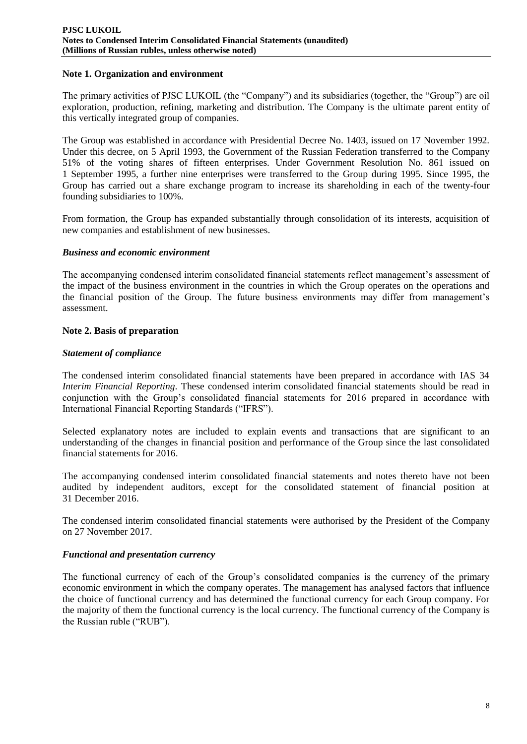#### **Note 1. Organization and environment**

The primary activities of PJSC LUKOIL (the "Company") and its subsidiaries (together, the "Group") are oil exploration, production, refining, marketing and distribution. The Company is the ultimate parent entity of this vertically integrated group of companies.

The Group was established in accordance with Presidential Decree No. 1403, issued on 17 November 1992. Under this decree, on 5 April 1993, the Government of the Russian Federation transferred to the Company 51% of the voting shares of fifteen enterprises. Under Government Resolution No. 861 issued on 1 September 1995, a further nine enterprises were transferred to the Group during 1995. Since 1995, the Group has carried out a share exchange program to increase its shareholding in each of the twenty-four founding subsidiaries to 100%.

From formation, the Group has expanded substantially through consolidation of its interests, acquisition of new companies and establishment of new businesses.

#### *Business and economic environment*

The accompanying condensed interim consolidated financial statements reflect management's assessment of the impact of the business environment in the countries in which the Group operates on the operations and the financial position of the Group. The future business environments may differ from management's assessment.

## **Note 2. Basis of preparation**

#### *Statement of compliance*

The condensed interim consolidated financial statements have been prepared in accordance with IAS 34 *Interim Financial Reporting*. These condensed interim consolidated financial statements should be read in conjunction with the Group's consolidated financial statements for 2016 prepared in accordance with International Financial Reporting Standards ("IFRS").

Selected explanatory notes are included to explain events and transactions that are significant to an understanding of the changes in financial position and performance of the Group since the last consolidated financial statements for 2016.

The accompanying condensed interim consolidated financial statements and notes thereto have not been audited by independent auditors, except for the consolidated statement of financial position at 31 December 2016.

The condensed interim consolidated financial statements were authorised by the President of the Company on 27 November 2017.

#### *Functional and presentation currency*

The functional currency of each of the Group's consolidated companies is the currency of the primary economic environment in which the company operates. The management has analysed factors that influence the choice of functional currency and has determined the functional currency for each Group company. For the majority of them the functional currency is the local currency. The functional currency of the Company is the Russian ruble ("RUB").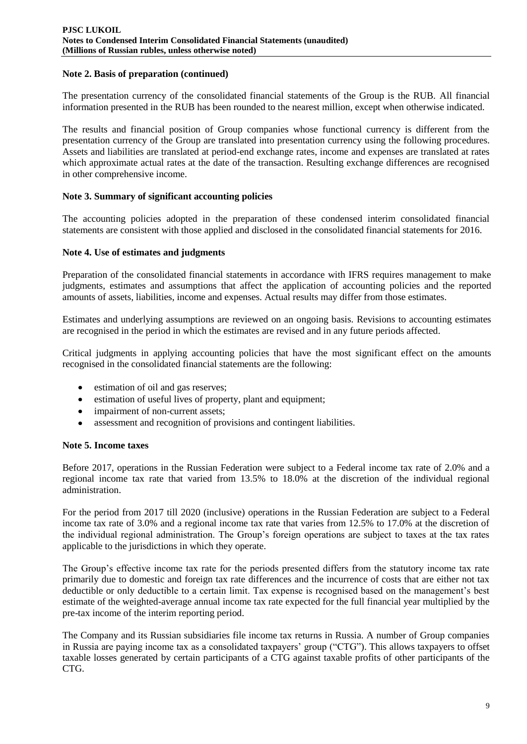## **Note 2. Basis of preparation (continued)**

The presentation currency of the consolidated financial statements of the Group is the RUB. All financial information presented in the RUB has been rounded to the nearest million, except when otherwise indicated.

The results and financial position of Group companies whose functional currency is different from the presentation currency of the Group are translated into presentation currency using the following procedures. Assets and liabilities are translated at period-end exchange rates, income and expenses are translated at rates which approximate actual rates at the date of the transaction. Resulting exchange differences are recognised in other comprehensive income.

## **Note 3. Summary of significant accounting policies**

The accounting policies adopted in the preparation of these condensed interim consolidated financial statements are consistent with those applied and disclosed in the consolidated financial statements for 2016.

## **Note 4. Use of estimates and judgments**

Preparation of the consolidated financial statements in accordance with IFRS requires management to make judgments, estimates and assumptions that affect the application of accounting policies and the reported amounts of assets, liabilities, income and expenses. Actual results may differ from those estimates.

Estimates and underlying assumptions are reviewed on an ongoing basis. Revisions to accounting estimates are recognised in the period in which the estimates are revised and in any future periods affected.

Critical judgments in applying accounting policies that have the most significant effect on the amounts recognised in the consolidated financial statements are the following:

- estimation of oil and gas reserves;
- estimation of useful lives of property, plant and equipment;
- impairment of non-current assets;
- assessment and recognition of provisions and contingent liabilities.  $\bullet$

#### **Note 5. Income taxes**

Before 2017, operations in the Russian Federation were subject to a Federal income tax rate of 2.0% and a regional income tax rate that varied from 13.5% to 18.0% at the discretion of the individual regional administration.

For the period from 2017 till 2020 (inclusive) operations in the Russian Federation are subject to a Federal income tax rate of 3.0% and a regional income tax rate that varies from 12.5% to 17.0% at the discretion of the individual regional administration. The Group's foreign operations are subject to taxes at the tax rates applicable to the jurisdictions in which they operate.

The Group's effective income tax rate for the periods presented differs from the statutory income tax rate primarily due to domestic and foreign tax rate differences and the incurrence of costs that are either not tax deductible or only deductible to a certain limit. Tax expense is recognised based on the management's best estimate of the weighted-average annual income tax rate expected for the full financial year multiplied by the pre-tax income of the interim reporting period.

The Company and its Russian subsidiaries file income tax returns in Russia. A number of Group companies in Russia are paying income tax as a consolidated taxpayers' group ("CTG"). This allows taxpayers to offset taxable losses generated by certain participants of a CTG against taxable profits of other participants of the CTG.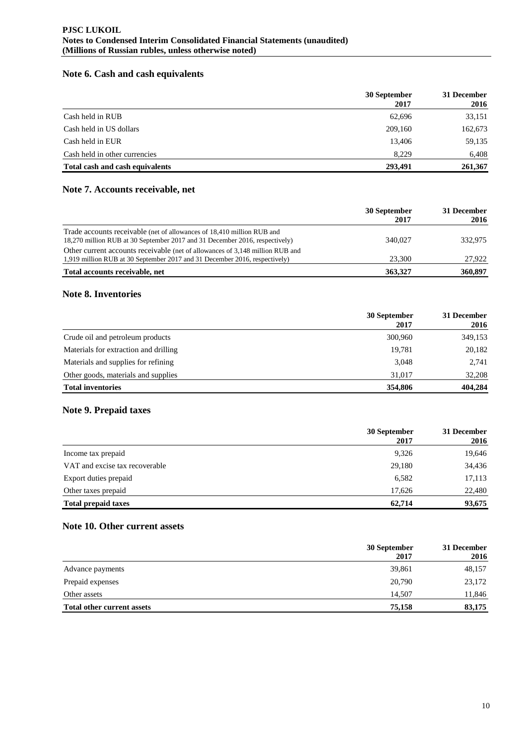## **Note 6. Cash and cash equivalents**

|                                 | 30 September<br>2017 | 31 December<br>2016 |
|---------------------------------|----------------------|---------------------|
| Cash held in RUB                | 62,696               | 33,151              |
| Cash held in US dollars         | 209,160              | 162,673             |
| Cash held in EUR                | 13,406               | 59,135              |
| Cash held in other currencies   | 8.229                | 6,408               |
| Total cash and cash equivalents | 293.491              | 261,367             |

## **Note 7. Accounts receivable, net**

|                                                                                                                                                             | 30 September<br>2017 | 31 December<br>2016 |
|-------------------------------------------------------------------------------------------------------------------------------------------------------------|----------------------|---------------------|
| Trade accounts receivable (net of allowances of 18,410 million RUB and<br>18,270 million RUB at 30 September 2017 and 31 December 2016, respectively)       | 340,027              | 332,975             |
| Other current accounts receivable (net of allowances of 3,148 million RUB and<br>1,919 million RUB at 30 September 2017 and 31 December 2016, respectively) | 23,300               | 27.922              |
| Total accounts receivable, net                                                                                                                              | 363,327              | 360,897             |

## **Note 8. Inventories**

|                                       | 30 September<br>2017 | 31 December<br>2016 |
|---------------------------------------|----------------------|---------------------|
| Crude oil and petroleum products      | 300,960              | 349,153             |
| Materials for extraction and drilling | 19.781               | 20,182              |
| Materials and supplies for refining   | 3,048                | 2,741               |
| Other goods, materials and supplies   | 31,017               | 32,208              |
| <b>Total inventories</b>              | 354,806              | 404,284             |

#### **Note 9. Prepaid taxes**

|                                | 30 September<br>2017 | 31 December<br>2016 |
|--------------------------------|----------------------|---------------------|
| Income tax prepaid             | 9,326                | 19,646              |
| VAT and excise tax recoverable | 29,180               | 34,436              |
| Export duties prepaid          | 6,582                | 17,113              |
| Other taxes prepaid            | 17.626               | 22,480              |
| <b>Total prepaid taxes</b>     | 62.714               | 93,675              |

## **Note 10. Other current assets**

|                                   | 30 September<br>2017 | 31 December<br>2016 |
|-----------------------------------|----------------------|---------------------|
| Advance payments                  | 39,861               | 48,157              |
| Prepaid expenses                  | 20,790               | 23,172              |
| Other assets                      | 14.507               | 11,846              |
| <b>Total other current assets</b> | 75.158               | 83,175              |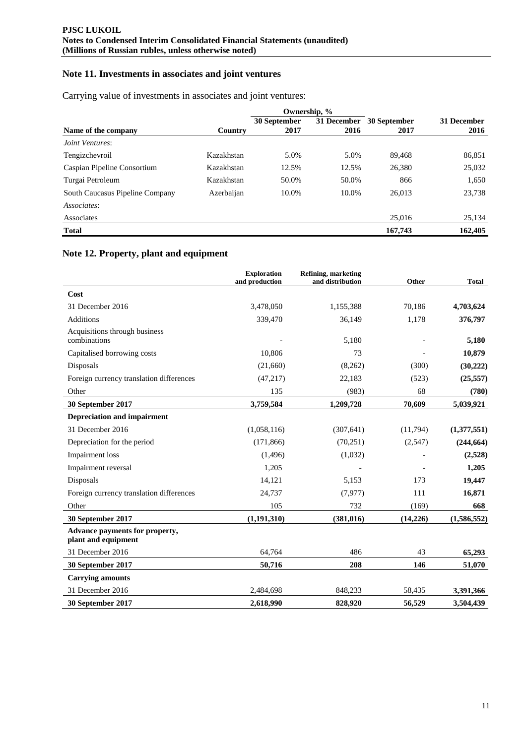## **Note 11. Investments in associates and joint ventures**

Carrying value of investments in associates and joint ventures:

|                                 |            |              | Ownership, % |                          |             |
|---------------------------------|------------|--------------|--------------|--------------------------|-------------|
|                                 |            | 30 September |              | 31 December 30 September | 31 December |
| Name of the company             | Country    | 2017         | 2016         | 2017                     | 2016        |
| <i>Joint Ventures:</i>          |            |              |              |                          |             |
| Tengizchevroil                  | Kazakhstan | 5.0%         | 5.0%         | 89,468                   | 86,851      |
| Caspian Pipeline Consortium     | Kazakhstan | 12.5%        | 12.5%        | 26,380                   | 25,032      |
| Turgai Petroleum                | Kazakhstan | 50.0%        | 50.0%        | 866                      | 1,650       |
| South Caucasus Pipeline Company | Azerbaijan | 10.0%        | 10.0%        | 26.013                   | 23,738      |
| Associates:                     |            |              |              |                          |             |
| Associates                      |            |              |              | 25,016                   | 25,134      |
| <b>Total</b>                    |            |              |              | 167,743                  | 162,405     |

## **Note 12. Property, plant and equipment**

|                                                       | <b>Exploration</b><br>and production | <b>Refining, marketing</b><br>and distribution | Other    | <b>Total</b> |
|-------------------------------------------------------|--------------------------------------|------------------------------------------------|----------|--------------|
| Cost                                                  |                                      |                                                |          |              |
| 31 December 2016                                      | 3,478,050                            | 1,155,388                                      | 70,186   | 4,703,624    |
| <b>Additions</b>                                      | 339,470                              | 36,149                                         | 1,178    | 376,797      |
| Acquisitions through business<br>combinations         |                                      | 5,180                                          |          | 5,180        |
| Capitalised borrowing costs                           | 10,806                               | 73                                             |          | 10,879       |
| Disposals                                             | (21,660)                             | (8,262)                                        | (300)    | (30,222)     |
| Foreign currency translation differences              | (47, 217)                            | 22,183                                         | (523)    | (25, 557)    |
| Other                                                 | 135                                  | (983)                                          | 68       | (780)        |
| 30 September 2017                                     | 3,759,584                            | 1,209,728                                      | 70,609   | 5,039,921    |
| <b>Depreciation and impairment</b>                    |                                      |                                                |          |              |
| 31 December 2016                                      | (1,058,116)                          | (307, 641)                                     | (11,794) | (1,377,551)  |
| Depreciation for the period                           | (171, 866)                           | (70, 251)                                      | (2,547)  | (244, 664)   |
| Impairment loss                                       | (1,496)                              | (1,032)                                        |          | (2,528)      |
| Impairment reversal                                   | 1,205                                |                                                |          | 1,205        |
| Disposals                                             | 14,121                               | 5,153                                          | 173      | 19,447       |
| Foreign currency translation differences              | 24,737                               | (7,977)                                        | 111      | 16,871       |
| Other                                                 | 105                                  | 732                                            | (169)    | 668          |
| 30 September 2017                                     | (1, 191, 310)                        | (381, 016)                                     | (14,226) | (1,586,552)  |
| Advance payments for property,<br>plant and equipment |                                      |                                                |          |              |
| 31 December 2016                                      | 64,764                               | 486                                            | 43       | 65,293       |
| 30 September 2017                                     | 50,716                               | 208                                            | 146      | 51,070       |
| <b>Carrying amounts</b>                               |                                      |                                                |          |              |
| 31 December 2016                                      | 2,484,698                            | 848,233                                        | 58,435   | 3,391,366    |
| 30 September 2017                                     | 2,618,990                            | 828,920                                        | 56,529   | 3,504,439    |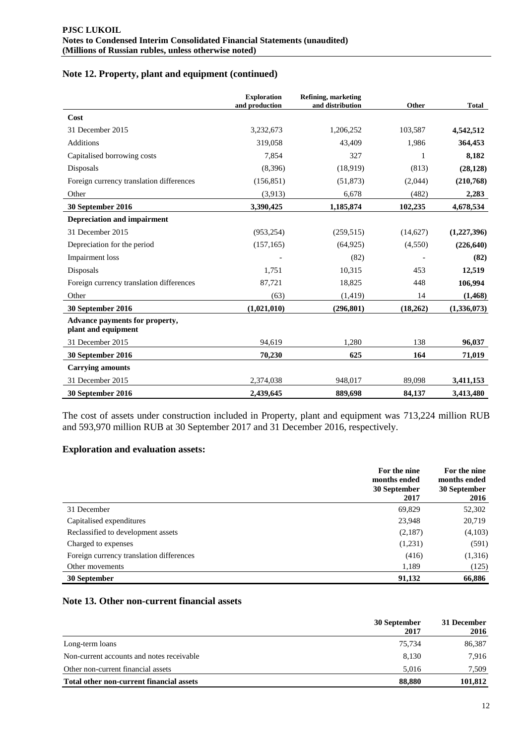## **Note 12. Property, plant and equipment (continued)**

|                                                       | <b>Exploration</b><br>and production | Refining, marketing<br>and distribution | Other     | <b>Total</b> |
|-------------------------------------------------------|--------------------------------------|-----------------------------------------|-----------|--------------|
| Cost                                                  |                                      |                                         |           |              |
| 31 December 2015                                      | 3,232,673                            | 1,206,252                               | 103,587   | 4,542,512    |
| <b>Additions</b>                                      | 319,058                              | 43,409                                  | 1,986     | 364,453      |
| Capitalised borrowing costs                           | 7,854                                | 327                                     | 1         | 8,182        |
| Disposals                                             | (8,396)                              | (18,919)                                | (813)     | (28, 128)    |
| Foreign currency translation differences              | (156, 851)                           | (51, 873)                               | (2,044)   | (210,768)    |
| Other                                                 | (3,913)                              | 6,678                                   | (482)     | 2,283        |
| 30 September 2016                                     | 3,390,425                            | 1,185,874                               | 102,235   | 4,678,534    |
| Depreciation and impairment                           |                                      |                                         |           |              |
| 31 December 2015                                      | (953, 254)                           | (259, 515)                              | (14, 627) | (1,227,396)  |
| Depreciation for the period                           | (157, 165)                           | (64, 925)                               | (4,550)   | (226, 640)   |
| Impairment loss                                       |                                      | (82)                                    |           | (82)         |
| Disposals                                             | 1,751                                | 10,315                                  | 453       | 12,519       |
| Foreign currency translation differences              | 87,721                               | 18,825                                  | 448       | 106,994      |
| Other                                                 | (63)                                 | (1, 419)                                | 14        | (1, 468)     |
| 30 September 2016                                     | (1,021,010)                          | (296, 801)                              | (18,262)  | (1,336,073)  |
| Advance payments for property,<br>plant and equipment |                                      |                                         |           |              |
| 31 December 2015                                      | 94,619                               | 1,280                                   | 138       | 96,037       |
| 30 September 2016                                     | 70,230                               | 625                                     | 164       | 71,019       |
| <b>Carrying amounts</b>                               |                                      |                                         |           |              |
| 31 December 2015                                      | 2,374,038                            | 948,017                                 | 89,098    | 3,411,153    |
| 30 September 2016                                     | 2,439,645                            | 889,698                                 | 84,137    | 3,413,480    |

The cost of assets under construction included in Property, plant and equipment was 713,224 million RUB and 593,970 million RUB at 30 September 2017 and 31 December 2016, respectively.

## **Exploration and evaluation assets:**

|                                          | For the nine<br>months ended<br>30 September<br>2017 | For the nine<br>months ended<br>30 September<br>2016 |
|------------------------------------------|------------------------------------------------------|------------------------------------------------------|
| 31 December                              | 69,829                                               | 52,302                                               |
| Capitalised expenditures                 | 23,948                                               | 20,719                                               |
| Reclassified to development assets       | (2,187)                                              | (4,103)                                              |
| Charged to expenses                      | (1,231)                                              | (591)                                                |
| Foreign currency translation differences | (416)                                                | (1,316)                                              |
| Other movements                          | 1,189                                                | (125)                                                |
| 30 September                             | 91,132                                               | 66,886                                               |

## **Note 13. Other non-current financial assets**

|                                           | 30 September<br>2017 | 31 December<br>2016 |
|-------------------------------------------|----------------------|---------------------|
| Long-term loans                           | 75.734               | 86,387              |
| Non-current accounts and notes receivable | 8,130                | 7.916               |
| Other non-current financial assets        | 5.016                | 7,509               |
| Total other non-current financial assets  | 88,880               | 101.812             |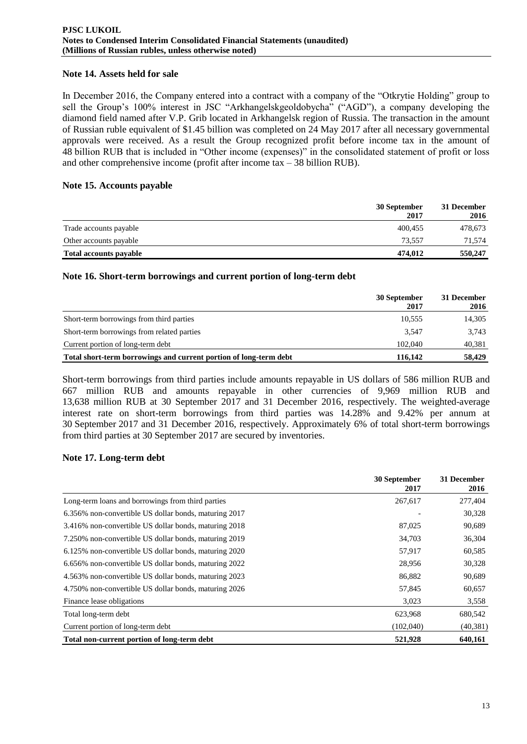## **Note 14. Assets held for sale**

In December 2016, the Company entered into a contract with a company of the "Otkrytie Holding" group to sell the Group's 100% interest in JSC "Arkhangelskgeoldobycha" ("AGD"), a company developing the diamond field named after V.P. Grib located in Arkhangelsk region of Russia. The transaction in the amount of Russian ruble equivalent of \$1.45 billion was completed on 24 May 2017 after all necessary governmental approvals were received. As a result the Group recognized profit before income tax in the amount of 48 billion RUB that is included in "Other income (expenses)" in the consolidated statement of profit or loss and other comprehensive income (profit after income tax – 38 billion RUB).

## **Note 15. Accounts payable**

|                               | 30 September<br>2017 | 31 December<br>2016 |
|-------------------------------|----------------------|---------------------|
| Trade accounts payable        | 400.455              | 478,673             |
| Other accounts payable        | 73.557               | 71,574              |
| <b>Total accounts payable</b> | 474,012              | 550,247             |

## **Note 16. Short-term borrowings and current portion of long-term debt**

|                                                                   | 30 September<br>2017 | 31 December<br>2016 |
|-------------------------------------------------------------------|----------------------|---------------------|
| Short-term borrowings from third parties                          | 10.555               | 14,305              |
| Short-term borrowings from related parties                        | 3.547                | 3,743               |
| Current portion of long-term debt                                 | 102,040              | 40,381              |
| Total short-term borrowings and current portion of long-term debt | 116,142              | 58,429              |

Short-term borrowings from third parties include amounts repayable in US dollars of 586 million RUB and 667 million RUB and amounts repayable in other currencies of 9,969 million RUB and 13,638 million RUB at 30 September 2017 and 31 December 2016, respectively. The weighted-average interest rate on short-term borrowings from third parties was 14.28% and 9.42% per annum at 30 September 2017 and 31 December 2016, respectively. Approximately 6% of total short-term borrowings from third parties at 30 September 2017 are secured by inventories.

## **Note 17. Long-term debt**

|                                                       | 30 September<br>2017 | 31 December<br>2016 |
|-------------------------------------------------------|----------------------|---------------------|
| Long-term loans and borrowings from third parties     | 267,617              | 277,404             |
| 6.356% non-convertible US dollar bonds, maturing 2017 |                      | 30,328              |
| 3.416% non-convertible US dollar bonds, maturing 2018 | 87,025               | 90,689              |
| 7.250% non-convertible US dollar bonds, maturing 2019 | 34,703               | 36,304              |
| 6.125% non-convertible US dollar bonds, maturing 2020 | 57,917               | 60,585              |
| 6.656% non-convertible US dollar bonds, maturing 2022 | 28,956               | 30,328              |
| 4.563% non-convertible US dollar bonds, maturing 2023 | 86,882               | 90,689              |
| 4.750% non-convertible US dollar bonds, maturing 2026 | 57,845               | 60,657              |
| Finance lease obligations                             | 3,023                | 3,558               |
| Total long-term debt                                  | 623,968              | 680,542             |
| Current portion of long-term debt                     | (102,040)            | (40, 381)           |
| Total non-current portion of long-term debt           | 521,928              | 640,161             |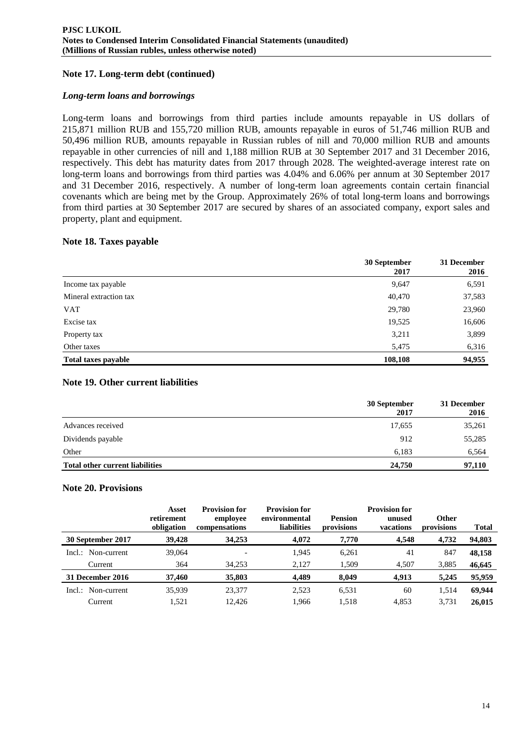## **Note 17. Long-term debt (continued)**

## *Long-term loans and borrowings*

Long-term loans and borrowings from third parties include amounts repayable in US dollars of 215,871 million RUB and 155,720 million RUB, amounts repayable in euros of 51,746 million RUB and 50,496 million RUB, amounts repayable in Russian rubles of nill and 70,000 million RUB and amounts repayable in other currencies of nill and 1,188 million RUB at 30 September 2017 and 31 December 2016, respectively. This debt has maturity dates from 2017 through 2028. The weighted-average interest rate on long-term loans and borrowings from third parties was 4.04% and 6.06% per annum at 30 September 2017 and 31 December 2016, respectively. A number of long-term loan agreements contain certain financial covenants which are being met by the Group. Approximately 26% of total long-term loans and borrowings from third parties at 30 September 2017 are secured by shares of an associated company, export sales and property, plant and equipment.

## **Note 18. Taxes payable**

|                            | 30 September<br>2017 | 31 December<br>2016 |
|----------------------------|----------------------|---------------------|
| Income tax payable         | 9,647                | 6,591               |
| Mineral extraction tax     | 40,470               | 37,583              |
| <b>VAT</b>                 | 29,780               | 23,960              |
| Excise tax                 | 19,525               | 16,606              |
| Property tax               | 3,211                | 3,899               |
| Other taxes                | 5,475                | 6,316               |
| <b>Total taxes payable</b> | 108,108              | 94,955              |

### **Note 19. Other current liabilities**

|                                        | 30 September<br>2017 | 31 December<br>2016 |
|----------------------------------------|----------------------|---------------------|
| Advances received                      | 17,655               | 35,261              |
| Dividends payable                      | 912                  | 55,285              |
| Other                                  | 6,183                | 6,564               |
| <b>Total other current liabilities</b> | 24,750               | 97,110              |

#### **Note 20. Provisions**

|                          | Asset<br>retirement<br>obligation | <b>Provision for</b><br>employee<br>compensations | <b>Provision for</b><br>environmental<br><b>liabilities</b> | <b>Pension</b><br>provisions | <b>Provision for</b><br>unused<br>vacations | <b>Other</b><br>provisions | <b>Total</b> |
|--------------------------|-----------------------------------|---------------------------------------------------|-------------------------------------------------------------|------------------------------|---------------------------------------------|----------------------------|--------------|
| 30 September 2017        | 39.428                            | 34,253                                            | 4,072                                                       | 7,770                        | 4,548                                       | 4,732                      | 94,803       |
| Incl.: Non-current       | 39,064                            | $\overline{\phantom{0}}$                          | 1.945                                                       | 6.261                        | 41                                          | 847                        | 48,158       |
| Current                  | 364                               | 34.253                                            | 2.127                                                       | 1.509                        | 4,507                                       | 3,885                      | 46,645       |
| 31 December 2016         | 37.460                            | 35,803                                            | 4,489                                                       | 8.049                        | 4.913                                       | 5.245                      | 95,959       |
| Non-current<br>$Incl.$ : | 35,939                            | 23,377                                            | 2,523                                                       | 6,531                        | 60                                          | 1,514                      | 69,944       |
| Current                  | 1.521                             | 12.426                                            | 1.966                                                       | 1.518                        | 4.853                                       | 3.731                      | 26,015       |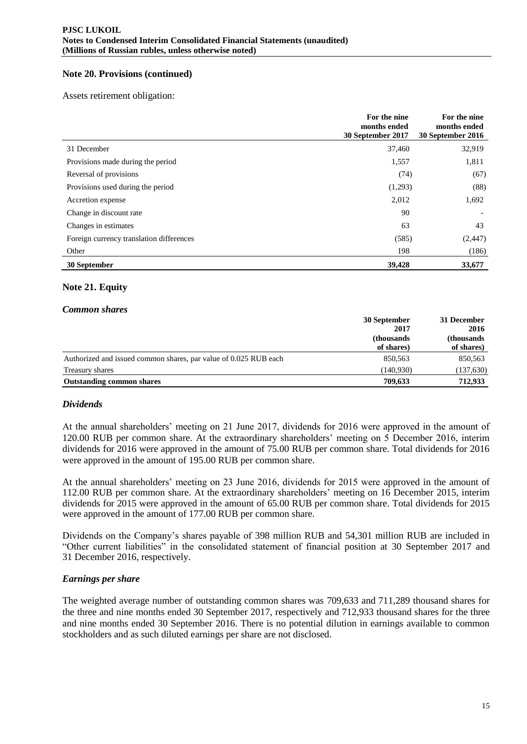#### **Note 20. Provisions (continued)**

Assets retirement obligation:

|                                          | For the nine<br>months ended<br>30 September 2017 | For the nine<br>months ended<br>30 September 2016 |
|------------------------------------------|---------------------------------------------------|---------------------------------------------------|
| 31 December                              | 37,460                                            | 32,919                                            |
| Provisions made during the period        | 1,557                                             | 1,811                                             |
| Reversal of provisions                   | (74)                                              | (67)                                              |
| Provisions used during the period        | (1,293)                                           | (88)                                              |
| Accretion expense                        | 2,012                                             | 1,692                                             |
| Change in discount rate                  | 90                                                |                                                   |
| Changes in estimates                     | 63                                                | 43                                                |
| Foreign currency translation differences | (585)                                             | (2,447)                                           |
| Other                                    | 198                                               | (186)                                             |
| 30 September                             | 39,428                                            | 33,677                                            |

## **Note 21. Equity**

#### *Common shares*

|                                                                  | 30 September | 31 December<br>2016 |  |
|------------------------------------------------------------------|--------------|---------------------|--|
|                                                                  | 2017         |                     |  |
|                                                                  | (thousands)  | (thousands)         |  |
|                                                                  | of shares)   | of shares)          |  |
| Authorized and issued common shares, par value of 0.025 RUB each | 850.563      | 850,563             |  |
| Treasury shares                                                  | (140,930)    | (137, 630)          |  |
| <b>Outstanding common shares</b>                                 | 709.633      | 712,933             |  |

#### *Dividends*

At the annual shareholders' meeting on 21 June 2017, dividends for 2016 were approved in the amount of 120.00 RUB per common share. At the extraordinary shareholders' meeting on 5 December 2016, interim dividends for 2016 were approved in the amount of 75.00 RUB per common share. Total dividends for 2016 were approved in the amount of 195.00 RUB per common share.

At the annual shareholders' meeting on 23 June 2016, dividends for 2015 were approved in the amount of 112.00 RUB per common share. At the extraordinary shareholders' meeting on 16 December 2015, interim dividends for 2015 were approved in the amount of 65.00 RUB per common share. Total dividends for 2015 were approved in the amount of 177.00 RUB per common share.

Dividends on the Company's shares payable of 398 million RUB and 54,301 million RUB are included in "Other current liabilities" in the consolidated statement of financial position at 30 September 2017 and 31 December 2016, respectively.

#### *Earnings per share*

The weighted average number of outstanding common shares was 709,633 and 711,289 thousand shares for the three and nine months ended 30 September 2017, respectively and 712,933 thousand shares for the three and nine months ended 30 September 2016. There is no potential dilution in earnings available to common stockholders and as such diluted earnings per share are not disclosed.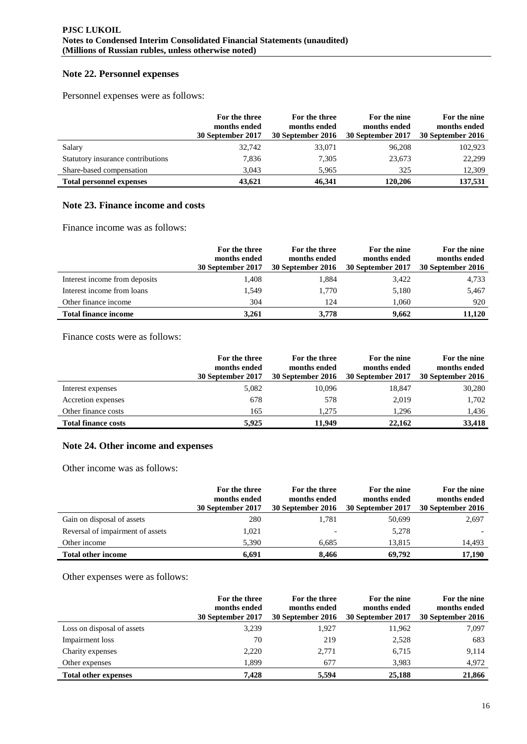## **Note 22. Personnel expenses**

Personnel expenses were as follows:

|                                   | For the three<br>months ended<br>30 September 2017 | For the three<br>months ended<br>30 September 2016 | For the nine<br>months ended<br>30 September 2017 | For the nine<br>months ended<br>30 September 2016 |
|-----------------------------------|----------------------------------------------------|----------------------------------------------------|---------------------------------------------------|---------------------------------------------------|
| Salary                            | 32,742                                             | 33,071                                             | 96,208                                            | 102,923                                           |
| Statutory insurance contributions | 7,836                                              | 7,305                                              | 23,673                                            | 22,299                                            |
| Share-based compensation          | 3.043                                              | 5.965                                              | 325                                               | 12,309                                            |
| <b>Total personnel expenses</b>   | 43,621                                             | 46.341                                             | 120,206                                           | 137,531                                           |

## **Note 23. Finance income and costs**

Finance income was as follows:

|                               | For the three<br>months ended<br>30 September 2017 | For the three<br>months ended<br>30 September 2016 | For the nine<br>months ended<br>30 September 2017 | For the nine<br>months ended<br>30 September 2016 |
|-------------------------------|----------------------------------------------------|----------------------------------------------------|---------------------------------------------------|---------------------------------------------------|
| Interest income from deposits | 1,408                                              | 1,884                                              | 3,422                                             | 4,733                                             |
| Interest income from loans    | 1,549                                              | 1.770                                              | 5,180                                             | 5,467                                             |
| Other finance income          | 304                                                | 124                                                | 1,060                                             | 920                                               |
| <b>Total finance income</b>   | 3.261                                              | 3.778                                              | 9.662                                             | 11.120                                            |

Finance costs were as follows:

|                            | For the three<br>months ended<br>30 September 2017 | For the three<br>months ended<br>30 September 2016 | For the nine<br>months ended<br>30 September 2017 | For the nine<br>months ended<br>30 September 2016 |
|----------------------------|----------------------------------------------------|----------------------------------------------------|---------------------------------------------------|---------------------------------------------------|
| Interest expenses          | 5,082                                              | 10,096                                             | 18,847                                            | 30,280                                            |
| Accretion expenses         | 678                                                | 578                                                | 2,019                                             | 1,702                                             |
| Other finance costs        | 165                                                | 1.275                                              | 1.296                                             | 1,436                                             |
| <b>Total finance costs</b> | 5.925                                              | 11.949                                             | 22,162                                            | 33,418                                            |

#### **Note 24. Other income and expenses**

Other income was as follows:

|                                  | For the three<br>months ended<br>30 September 2017 | For the three<br>months ended<br>30 September 2016 | For the nine<br>months ended<br>30 September 2017 | For the nine<br>months ended<br>30 September 2016 |
|----------------------------------|----------------------------------------------------|----------------------------------------------------|---------------------------------------------------|---------------------------------------------------|
| Gain on disposal of assets       | 280                                                | 1.781                                              | 50,699                                            | 2,697                                             |
| Reversal of impairment of assets | 1,021                                              |                                                    | 5,278                                             |                                                   |
| Other income                     | 5.390                                              | 6.685                                              | 13.815                                            | 14,493                                            |
| <b>Total other income</b>        | 6.691                                              | 8.466                                              | 69.792                                            | 17.190                                            |

Other expenses were as follows:

|                             | For the three<br>months ended<br>30 September 2017 | For the three<br>months ended<br>30 September 2016 | For the nine<br>months ended<br>30 September 2017 | For the nine<br>months ended<br>30 September 2016 |
|-----------------------------|----------------------------------------------------|----------------------------------------------------|---------------------------------------------------|---------------------------------------------------|
| Loss on disposal of assets  | 3,239                                              | 1,927                                              | 11,962                                            | 7,097                                             |
| Impairment loss             | 70                                                 | 219                                                | 2,528                                             | 683                                               |
| Charity expenses            | 2,220                                              | 2,771                                              | 6,715                                             | 9,114                                             |
| Other expenses              | 1.899                                              | 677                                                | 3,983                                             | 4,972                                             |
| <b>Total other expenses</b> | 7.428                                              | 5.594                                              | 25,188                                            | 21,866                                            |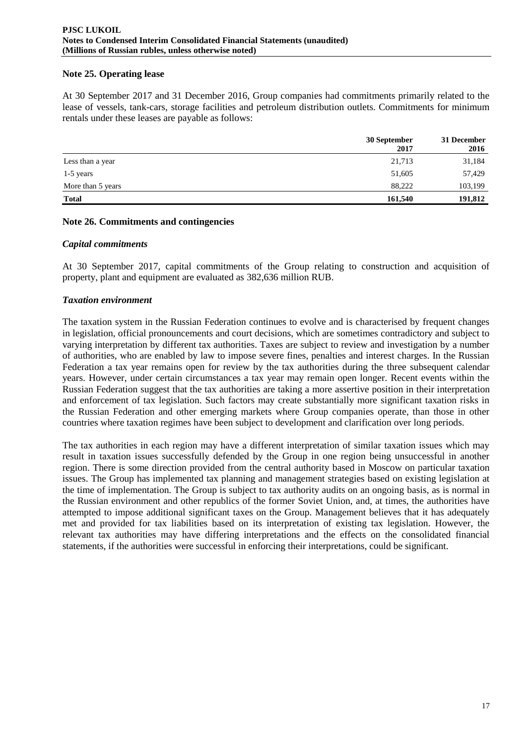## **Note 25. Operating lease**

At 30 September 2017 and 31 December 2016, Group companies had commitments primarily related to the lease of vessels, tank-cars, storage facilities and petroleum distribution outlets. Commitments for minimum rentals under these leases are payable as follows:

|                   | 30 September<br>2017 | 31 December<br>2016 |
|-------------------|----------------------|---------------------|
| Less than a year  | 21,713               | 31,184              |
| $1-5$ years       | 51,605               | 57,429              |
| More than 5 years | 88,222               | 103,199             |
| <b>Total</b>      | 161,540              | 191,812             |

## **Note 26. Commitments and contingencies**

## *Capital commitments*

At 30 September 2017, capital commitments of the Group relating to construction and acquisition of property, plant and equipment are evaluated as 382,636 million RUB.

## *Taxation environment*

The taxation system in the Russian Federation continues to evolve and is characterised by frequent changes in legislation, official pronouncements and court decisions, which are sometimes contradictory and subject to varying interpretation by different tax authorities. Taxes are subject to review and investigation by a number of authorities, who are enabled by law to impose severe fines, penalties and interest charges. In the Russian Federation a tax year remains open for review by the tax authorities during the three subsequent calendar years. However, under certain circumstances a tax year may remain open longer. Recent events within the Russian Federation suggest that the tax authorities are taking a more assertive position in their interpretation and enforcement of tax legislation. Such factors may create substantially more significant taxation risks in the Russian Federation and other emerging markets where Group companies operate, than those in other countries where taxation regimes have been subject to development and clarification over long periods.

The tax authorities in each region may have a different interpretation of similar taxation issues which may result in taxation issues successfully defended by the Group in one region being unsuccessful in another region. There is some direction provided from the central authority based in Moscow on particular taxation issues. The Group has implemented tax planning and management strategies based on existing legislation at the time of implementation. The Group is subject to tax authority audits on an ongoing basis, as is normal in the Russian environment and other republics of the former Soviet Union, and, at times, the authorities have attempted to impose additional significant taxes on the Group. Management believes that it has adequately met and provided for tax liabilities based on its interpretation of existing tax legislation. However, the relevant tax authorities may have differing interpretations and the effects on the consolidated financial statements, if the authorities were successful in enforcing their interpretations, could be significant.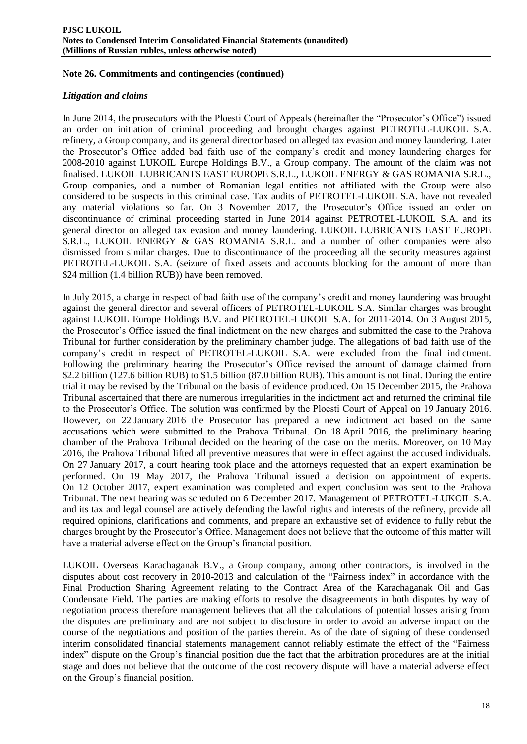## **Note 26. Commitments and contingencies (continued)**

## *Litigation and claims*

In June 2014, the prosecutors with the Ploesti Court of Appeals (hereinafter the "Prosecutor's Office") issued an order on initiation of criminal proceeding and brought charges against PETROTEL-LUKOIL S.A. refinery, a Group company, and its general director based on alleged tax evasion and money laundering. Later the Prosecutor's Office added bad faith use of the company's credit and money laundering charges for 2008-2010 against LUKOIL Europe Holdings B.V., a Group company. The amount of the claim was not finalised. LUKOIL LUBRICANTS EAST EUROPE S.R.L., LUKOIL ENERGY & GAS ROMANIA S.R.L., Group companies, and a number of Romanian legal entities not affiliated with the Group were also considered to be suspects in this criminal case. Tax audits of PETROTEL-LUKOIL S.A. have not revealed any material violations so far. On 3 November 2017, the Prosecutor's Office issued an order on discontinuance of criminal proceeding started in June 2014 against PETROTEL-LUKOIL S.A. and its general director on alleged tax evasion and money laundering. LUKOIL LUBRICANTS EAST EUROPE S.R.L., LUKOIL ENERGY & GAS ROMANIA S.R.L. and a number of other companies were also dismissed from similar charges. Due to discontinuance of the proceeding all the security measures against PETROTEL-LUKOIL S.A. (seizure of fixed assets and accounts blocking for the amount of more than \$24 million (1.4 billion RUB)) have been removed.

In July 2015, a charge in respect of bad faith use of the company's credit and money laundering was brought against the general director and several officers of PETROTEL-LUKOIL S.A. Similar charges was brought against LUKOIL Europe Holdings B.V. and PETROTEL-LUKOIL S.A. for 2011-2014. On 3 August 2015, the Prosecutor's Office issued the final indictment on the new charges and submitted the case to the Prahova Tribunal for further consideration by the preliminary chamber judge. The allegations of bad faith use of the company's credit in respect of PETROTEL-LUKOIL S.A. were excluded from the final indictment. Following the preliminary hearing the Prosecutor's Office revised the amount of damage claimed from \$2.2 billion (127.6 billion RUB) to \$1.5 billion (87.0 billion RUB). This amount is not final. During the entire trial it may be revised by the Tribunal on the basis of evidence produced. On 15 December 2015, the Prahova Tribunal ascertained that there are numerous irregularities in the indictment act and returned the criminal file to the Prosecutor's Office. The solution was confirmed by the Ploesti Court of Appeal on 19 January 2016. However, on 22 January 2016 the Prosecutor has prepared a new indictment act based on the same accusations which were submitted to the Prahova Tribunal. On 18 April 2016, the preliminary hearing chamber of the Prahova Tribunal decided on the hearing of the case on the merits. Moreover, on 10 May 2016, the Prahova Tribunal lifted all preventive measures that were in effect against the accused individuals. On 27 January 2017, a court hearing took place and the attorneys requested that an expert examination be performed. On 19 May 2017, the Prahova Tribunal issued a decision on appointment of experts. On 12 October 2017, expert examination was completed and expert conclusion was sent to the Prahova Tribunal. The next hearing was scheduled on 6 December 2017. Management of PETROTEL-LUKOIL S.A. and its tax and legal counsel are actively defending the lawful rights and interests of the refinery, provide all required opinions, clarifications and comments, and prepare an exhaustive set of evidence to fully rebut the charges brought by the Prosecutor's Office. Management does not believe that the outcome of this matter will have a material adverse effect on the Group's financial position.

LUKOIL Overseas Karachaganak B.V., a Group company, among other contractors, is involved in the disputes about cost recovery in 2010-2013 and calculation of the "Fairness index" in accordance with the Final Production Sharing Agreement relating to the Contract Area of the Karachaganak Oil and Gas Condensate Field. The parties are making efforts to resolve the disagreements in both disputes by way of negotiation process therefore management believes that all the calculations of potential losses arising from the disputes are preliminary and are not subject to disclosure in order to avoid an adverse impact on the course of the negotiations and position of the parties therein. As of the date of signing of these condensed interim consolidated financial statements management cannot reliably estimate the effect of the "Fairness index" dispute on the Group's financial position due the fact that the arbitration procedures are at the initial stage and does not believe that the outcome of the cost recovery dispute will have a material adverse effect on the Group's financial position.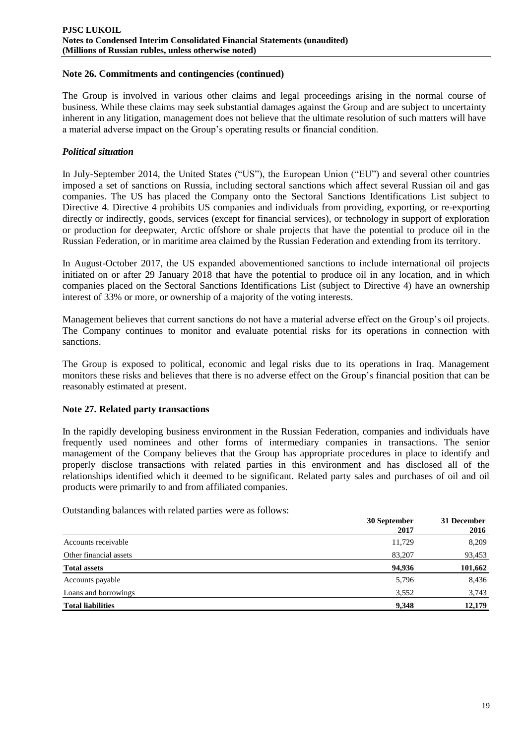## **Note 26. Commitments and contingencies (continued)**

The Group is involved in various other claims and legal proceedings arising in the normal course of business. While these claims may seek substantial damages against the Group and are subject to uncertainty inherent in any litigation, management does not believe that the ultimate resolution of such matters will have a material adverse impact on the Group's operating results or financial condition.

## *Political situation*

In July-September 2014, the United States ("US"), the European Union ("EU") and several other countries imposed a set of sanctions on Russia, including sectoral sanctions which affect several Russian oil and gas companies. The US has placed the Company onto the Sectoral Sanctions Identifications List subject to Directive 4. Directive 4 prohibits US companies and individuals from providing, exporting, or re-exporting directly or indirectly, goods, services (except for financial services), or technology in support of exploration or production for deepwater, Arctic offshore or shale projects that have the potential to produce oil in the Russian Federation, or in maritime area claimed by the Russian Federation and extending from its territory.

In August-October 2017, the US expanded abovementioned sanctions to include international oil projects initiated on or after 29 January 2018 that have the potential to produce oil in any location, and in which companies placed on the Sectoral Sanctions Identifications List (subject to Directive 4) have an ownership interest of 33% or more, or ownership of a majority of the voting interests.

Management believes that current sanctions do not have a material adverse effect on the Group's oil projects. The Company continues to monitor and evaluate potential risks for its operations in connection with sanctions.

The Group is exposed to political, economic and legal risks due to its operations in Iraq. Management monitors these risks and believes that there is no adverse effect on the Group's financial position that can be reasonably estimated at present.

#### **Note 27. Related party transactions**

In the rapidly developing business environment in the Russian Federation, companies and individuals have frequently used nominees and other forms of intermediary companies in transactions. The senior management of the Company believes that the Group has appropriate procedures in place to identify and properly disclose transactions with related parties in this environment and has disclosed all of the relationships identified which it deemed to be significant. Related party sales and purchases of oil and oil products were primarily to and from affiliated companies.

Outstanding balances with related parties were as follows:

|                          | 30 September<br>2017 | 31 December<br>2016 |
|--------------------------|----------------------|---------------------|
| Accounts receivable      | 11,729               | 8,209               |
| Other financial assets   | 83,207               | 93,453              |
| <b>Total assets</b>      | 94,936               | 101,662             |
| Accounts payable         | 5,796                | 8,436               |
| Loans and borrowings     | 3,552                | 3,743               |
| <b>Total liabilities</b> | 9,348                | 12,179              |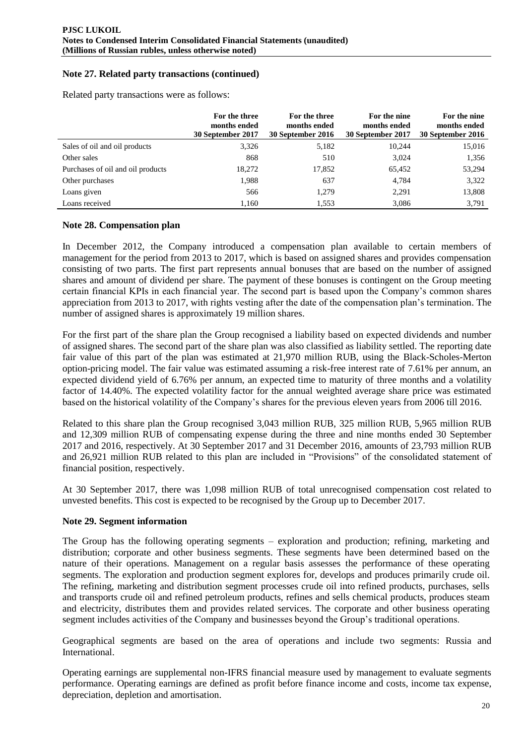## **Note 27. Related party transactions (continued)**

Related party transactions were as follows:

|                                   | For the three<br>months ended<br>30 September 2017 | For the three<br>months ended<br>30 September 2016 | For the nine<br>months ended<br>30 September 2017 | For the nine<br>months ended<br>30 September 2016 |
|-----------------------------------|----------------------------------------------------|----------------------------------------------------|---------------------------------------------------|---------------------------------------------------|
| Sales of oil and oil products     | 3,326                                              | 5,182                                              | 10.244                                            | 15,016                                            |
| Other sales                       | 868                                                | 510                                                | 3,024                                             | 1,356                                             |
| Purchases of oil and oil products | 18,272                                             | 17,852                                             | 65,452                                            | 53,294                                            |
| Other purchases                   | 1.988                                              | 637                                                | 4,784                                             | 3,322                                             |
| Loans given                       | 566                                                | 1.279                                              | 2,291                                             | 13,808                                            |
| Loans received                    | 1.160                                              | 1.553                                              | 3.086                                             | 3,791                                             |

## **Note 28. Compensation plan**

In December 2012, the Company introduced a compensation plan available to certain members of management for the period from 2013 to 2017, which is based on assigned shares and provides compensation consisting of two parts. The first part represents annual bonuses that are based on the number of assigned shares and amount of dividend per share. The payment of these bonuses is contingent on the Group meeting certain financial KPIs in each financial year. The second part is based upon the Company's common shares appreciation from 2013 to 2017, with rights vesting after the date of the compensation plan's termination. The number of assigned shares is approximately 19 million shares.

For the first part of the share plan the Group recognised a liability based on expected dividends and number of assigned shares. The second part of the share plan was also classified as liability settled. The reporting date fair value of this part of the plan was estimated at 21,970 million RUB, using the Black-Scholes-Merton option-pricing model. The fair value was estimated assuming a risk-free interest rate of 7.61% per annum, an expected dividend yield of 6.76% per annum, an expected time to maturity of three months and a volatility factor of 14.40%. The expected volatility factor for the annual weighted average share price was estimated based on the historical volatility of the Company's shares for the previous eleven years from 2006 till 2016.

Related to this share plan the Group recognised 3,043 million RUB, 325 million RUB, 5,965 million RUB and 12,309 million RUB of compensating expense during the three and nine months ended 30 September 2017 and 2016, respectively. At 30 September 2017 and 31 December 2016, amounts of 23,793 million RUB and 26,921 million RUB related to this plan are included in "Provisions" of the consolidated statement of financial position, respectively.

At 30 September 2017, there was 1,098 million RUB of total unrecognised compensation cost related to unvested benefits. This cost is expected to be recognised by the Group up to December 2017.

#### **Note 29. Segment information**

The Group has the following operating segments – exploration and production; refining, marketing and distribution; corporate and other business segments. These segments have been determined based on the nature of their operations. Management on a regular basis assesses the performance of these operating segments. The exploration and production segment explores for, develops and produces primarily crude oil. The refining, marketing and distribution segment processes crude oil into refined products, purchases, sells and transports crude oil and refined petroleum products, refines and sells chemical products, produces steam and electricity, distributes them and provides related services. The corporate and other business operating segment includes activities of the Company and businesses beyond the Group's traditional operations.

Geographical segments are based on the area of operations and include two segments: Russia and International.

Operating earnings are supplemental non-IFRS financial measure used by management to evaluate segments performance. Operating earnings are defined as profit before finance income and costs, income tax expense, depreciation, depletion and amortisation.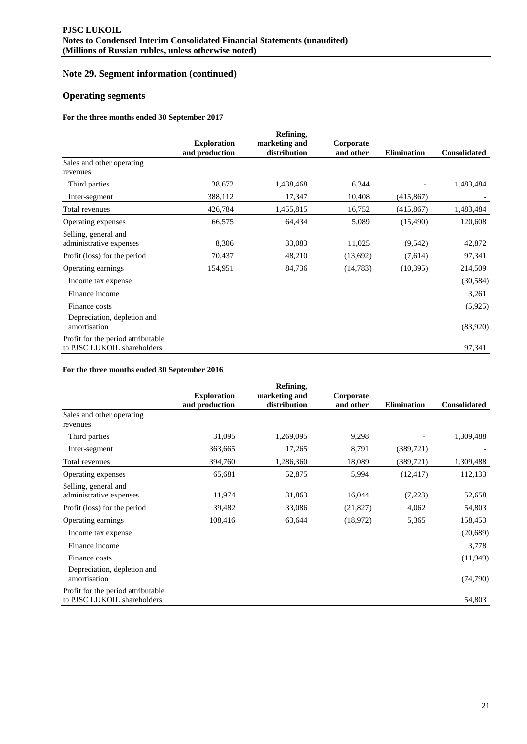## **Operating segments**

## **For the three months ended 30 September 2017**

|                                                                   | <b>Exploration</b> | Refining,<br>marketing and | Corporate |                    |                     |
|-------------------------------------------------------------------|--------------------|----------------------------|-----------|--------------------|---------------------|
|                                                                   | and production     | distribution               | and other | <b>Elimination</b> | <b>Consolidated</b> |
| Sales and other operating<br>revenues                             |                    |                            |           |                    |                     |
| Third parties                                                     | 38,672             | 1,438,468                  | 6,344     |                    | 1,483,484           |
| Inter-segment                                                     | 388,112            | 17,347                     | 10,408    | (415, 867)         |                     |
| Total revenues                                                    | 426,784            | 1,455,815                  | 16,752    | (415, 867)         | 1,483,484           |
| Operating expenses                                                | 66,575             | 64,434                     | 5,089     | (15,490)           | 120,608             |
| Selling, general and<br>administrative expenses                   | 8,306              | 33,083                     | 11,025    | (9, 542)           | 42,872              |
| Profit (loss) for the period                                      | 70,437             | 48,210                     | (13,692)  | (7,614)            | 97,341              |
| Operating earnings                                                | 154,951            | 84,736                     | (14, 783) | (10, 395)          | 214,509             |
| Income tax expense                                                |                    |                            |           |                    | (30, 584)           |
| Finance income                                                    |                    |                            |           |                    | 3,261               |
| Finance costs                                                     |                    |                            |           |                    | (5,925)             |
| Depreciation, depletion and<br>amortisation                       |                    |                            |           |                    | (83,920)            |
| Profit for the period attributable<br>to PJSC LUKOIL shareholders |                    |                            |           |                    | 97,341              |

#### **For the three months ended 30 September 2016**

|                                                                   |                                      | Refining,                     |                        |                    |                     |
|-------------------------------------------------------------------|--------------------------------------|-------------------------------|------------------------|--------------------|---------------------|
|                                                                   | <b>Exploration</b><br>and production | marketing and<br>distribution | Corporate<br>and other | <b>Elimination</b> | <b>Consolidated</b> |
| Sales and other operating<br>revenues                             |                                      |                               |                        |                    |                     |
| Third parties                                                     | 31,095                               | 1,269,095                     | 9,298                  |                    | 1,309,488           |
| Inter-segment                                                     | 363,665                              | 17,265                        | 8,791                  | (389, 721)         |                     |
| Total revenues                                                    | 394,760                              | 1,286,360                     | 18,089                 | (389, 721)         | 1,309,488           |
| Operating expenses                                                | 65,681                               | 52,875                        | 5,994                  | (12, 417)          | 112,133             |
| Selling, general and<br>administrative expenses                   | 11,974                               | 31,863                        | 16,044                 | (7,223)            | 52,658              |
| Profit (loss) for the period                                      | 39,482                               | 33,086                        | (21, 827)              | 4,062              | 54,803              |
| Operating earnings                                                | 108,416                              | 63,644                        | (18,972)               | 5,365              | 158,453             |
| Income tax expense                                                |                                      |                               |                        |                    | (20, 689)           |
| Finance income                                                    |                                      |                               |                        |                    | 3,778               |
| Finance costs                                                     |                                      |                               |                        |                    | (11, 949)           |
| Depreciation, depletion and<br>amortisation                       |                                      |                               |                        |                    | (74, 790)           |
| Profit for the period attributable<br>to PJSC LUKOIL shareholders |                                      |                               |                        |                    | 54,803              |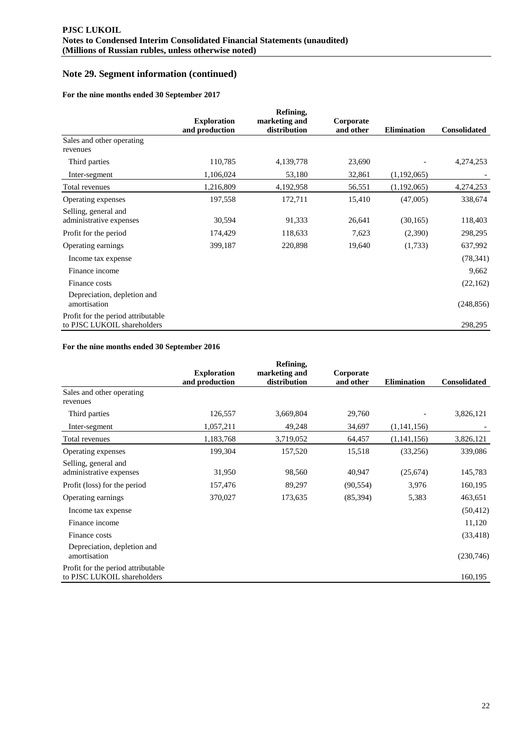#### **For the nine months ended 30 September 2017**

|                                                                   |                                      | Refining,                     |                        |                    |                     |
|-------------------------------------------------------------------|--------------------------------------|-------------------------------|------------------------|--------------------|---------------------|
|                                                                   | <b>Exploration</b><br>and production | marketing and<br>distribution | Corporate<br>and other | <b>Elimination</b> | <b>Consolidated</b> |
| Sales and other operating<br>revenues                             |                                      |                               |                        |                    |                     |
| Third parties                                                     | 110,785                              | 4,139,778                     | 23,690                 |                    | 4,274,253           |
| Inter-segment                                                     | 1,106,024                            | 53,180                        | 32,861                 | (1,192,065)        |                     |
| Total revenues                                                    | 1,216,809                            | 4,192,958                     | 56,551                 | (1,192,065)        | 4,274,253           |
| Operating expenses                                                | 197,558                              | 172,711                       | 15,410                 | (47,005)           | 338,674             |
| Selling, general and<br>administrative expenses                   | 30,594                               | 91,333                        | 26,641                 | (30, 165)          | 118,403             |
| Profit for the period                                             | 174,429                              | 118,633                       | 7,623                  | (2,390)            | 298,295             |
| Operating earnings                                                | 399,187                              | 220,898                       | 19,640                 | (1,733)            | 637,992             |
| Income tax expense                                                |                                      |                               |                        |                    | (78, 341)           |
| Finance income                                                    |                                      |                               |                        |                    | 9,662               |
| Finance costs                                                     |                                      |                               |                        |                    | (22, 162)           |
| Depreciation, depletion and<br>amortisation                       |                                      |                               |                        |                    | (248, 856)          |
| Profit for the period attributable<br>to PJSC LUKOIL shareholders |                                      |                               |                        |                    | 298,295             |

#### **For the nine months ended 30 September 2016**

|                                                                   |                                      | Refining,                     |                        |                    |                     |
|-------------------------------------------------------------------|--------------------------------------|-------------------------------|------------------------|--------------------|---------------------|
|                                                                   | <b>Exploration</b><br>and production | marketing and<br>distribution | Corporate<br>and other | <b>Elimination</b> | <b>Consolidated</b> |
| Sales and other operating<br>revenues                             |                                      |                               |                        |                    |                     |
| Third parties                                                     | 126,557                              | 3,669,804                     | 29,760                 |                    | 3,826,121           |
| Inter-segment                                                     | 1,057,211                            | 49,248                        | 34,697                 | (1,141,156)        |                     |
| Total revenues                                                    | 1,183,768                            | 3,719,052                     | 64,457                 | (1,141,156)        | 3,826,121           |
| Operating expenses                                                | 199,304                              | 157,520                       | 15,518                 | (33,256)           | 339,086             |
| Selling, general and<br>administrative expenses                   | 31,950                               | 98,560                        | 40,947                 | (25,674)           | 145,783             |
| Profit (loss) for the period                                      | 157,476                              | 89,297                        | (90, 554)              | 3,976              | 160,195             |
| Operating earnings                                                | 370,027                              | 173,635                       | (85,394)               | 5,383              | 463,651             |
| Income tax expense                                                |                                      |                               |                        |                    | (50, 412)           |
| Finance income                                                    |                                      |                               |                        |                    | 11,120              |
| Finance costs                                                     |                                      |                               |                        |                    | (33, 418)           |
| Depreciation, depletion and<br>amortisation                       |                                      |                               |                        |                    | (230,746)           |
| Profit for the period attributable<br>to PJSC LUKOIL shareholders |                                      |                               |                        |                    | 160,195             |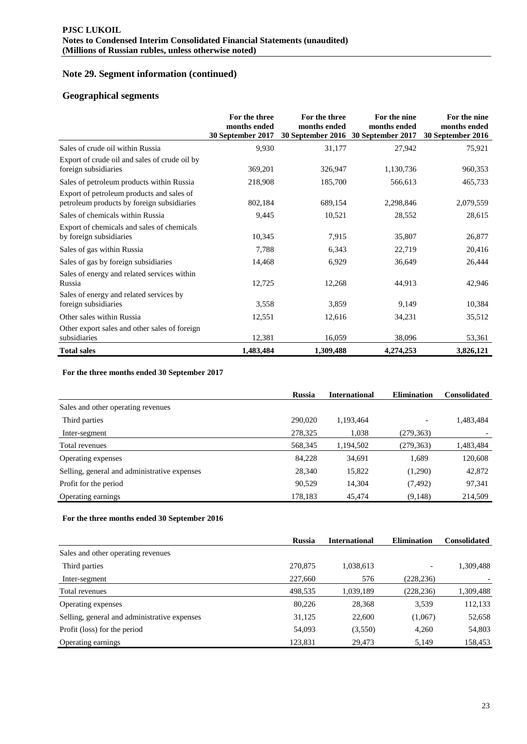## **Geographical segments**

|                                                                                         | For the three<br>months ended<br>30 September 2017 | For the three<br>months ended<br>30 September 2016 30 September 2017 | For the nine<br>months ended | For the nine<br>months ended<br>30 September 2016 |
|-----------------------------------------------------------------------------------------|----------------------------------------------------|----------------------------------------------------------------------|------------------------------|---------------------------------------------------|
| Sales of crude oil within Russia                                                        | 9,930                                              | 31,177                                                               | 27,942                       | 75,921                                            |
| Export of crude oil and sales of crude oil by<br>foreign subsidiaries                   | 369,201                                            | 326,947                                                              | 1,130,736                    | 960,353                                           |
| Sales of petroleum products within Russia                                               | 218,908                                            | 185,700                                                              | 566,613                      | 465,733                                           |
| Export of petroleum products and sales of<br>petroleum products by foreign subsidiaries | 802,184                                            | 689,154                                                              | 2,298,846                    | 2,079,559                                         |
| Sales of chemicals within Russia                                                        | 9,445                                              | 10,521                                                               | 28,552                       | 28,615                                            |
| Export of chemicals and sales of chemicals<br>by foreign subsidiaries                   | 10,345                                             | 7,915                                                                | 35,807                       | 26,877                                            |
| Sales of gas within Russia                                                              | 7,788                                              | 6,343                                                                | 22,719                       | 20,416                                            |
| Sales of gas by foreign subsidiaries                                                    | 14,468                                             | 6,929                                                                | 36,649                       | 26,444                                            |
| Sales of energy and related services within<br>Russia                                   | 12,725                                             | 12,268                                                               | 44,913                       | 42,946                                            |
| Sales of energy and related services by<br>foreign subsidiaries                         | 3,558                                              | 3,859                                                                | 9,149                        | 10,384                                            |
| Other sales within Russia                                                               | 12,551                                             | 12,616                                                               | 34,231                       | 35,512                                            |
| Other export sales and other sales of foreign<br>subsidiaries                           | 12,381                                             | 16,059                                                               | 38,096                       | 53,361                                            |
| <b>Total sales</b>                                                                      | 1,483,484                                          | 1,309,488                                                            | 4,274,253                    | 3,826,121                                         |

#### **For the three months ended 30 September 2017**

|                                              | <b>Russia</b> | <b>International</b> | <b>Elimination</b> | <b>Consolidated</b> |
|----------------------------------------------|---------------|----------------------|--------------------|---------------------|
| Sales and other operating revenues           |               |                      |                    |                     |
| Third parties                                | 290,020       | 1,193,464            |                    | 1,483,484           |
| Inter-segment                                | 278,325       | 1,038                | (279, 363)         |                     |
| Total revenues                               | 568,345       | 1,194,502            | (279, 363)         | 1,483,484           |
| Operating expenses                           | 84,228        | 34,691               | 1,689              | 120,608             |
| Selling, general and administrative expenses | 28,340        | 15,822               | (1,290)            | 42,872              |
| Profit for the period                        | 90,529        | 14,304               | (7, 492)           | 97,341              |
| Operating earnings                           | 178,183       | 45,474               | (9,148)            | 214,509             |

#### **For the three months ended 30 September 2016**

|                                              | <b>Russia</b> | <b>International</b> | <b>Elimination</b>       | <b>Consolidated</b> |
|----------------------------------------------|---------------|----------------------|--------------------------|---------------------|
| Sales and other operating revenues           |               |                      |                          |                     |
| Third parties                                | 270,875       | 1,038,613            | $\overline{\phantom{0}}$ | 1,309,488           |
| Inter-segment                                | 227,660       | 576                  | (228, 236)               |                     |
| Total revenues                               | 498,535       | 1,039,189            | (228, 236)               | 1,309,488           |
| Operating expenses                           | 80,226        | 28,368               | 3,539                    | 112,133             |
| Selling, general and administrative expenses | 31,125        | 22,600               | (1,067)                  | 52,658              |
| Profit (loss) for the period                 | 54,093        | (3,550)              | 4,260                    | 54,803              |
| Operating earnings                           | 123,831       | 29,473               | 5,149                    | 158,453             |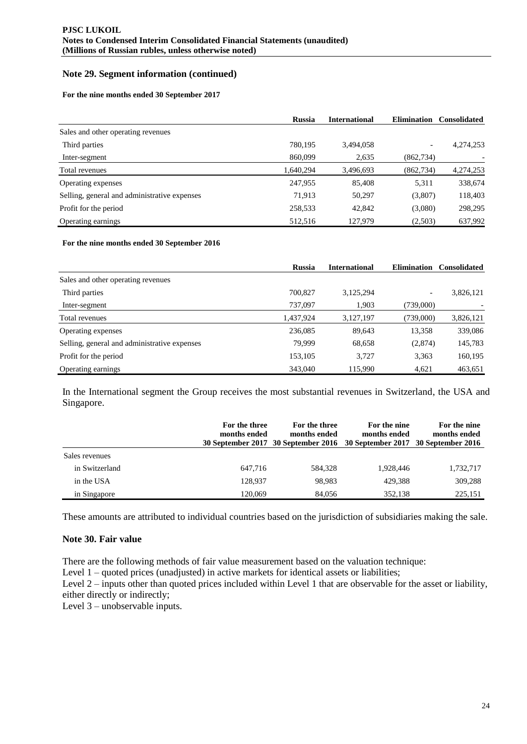#### **For the nine months ended 30 September 2017**

|                                              | <b>Russia</b> | International | <b>Elimination</b>       | <b>Consolidated</b> |
|----------------------------------------------|---------------|---------------|--------------------------|---------------------|
| Sales and other operating revenues           |               |               |                          |                     |
| Third parties                                | 780,195       | 3,494,058     | $\overline{\phantom{a}}$ | 4,274,253           |
| Inter-segment                                | 860,099       | 2,635         | (862,734)                |                     |
| Total revenues                               | 1,640,294     | 3,496,693     | (862, 734)               | 4,274,253           |
| Operating expenses                           | 247,955       | 85,408        | 5,311                    | 338,674             |
| Selling, general and administrative expenses | 71,913        | 50,297        | (3,807)                  | 118,403             |
| Profit for the period                        | 258,533       | 42,842        | (3,080)                  | 298,295             |
| Operating earnings                           | 512,516       | 127,979       | (2,503)                  | 637,992             |

#### **For the nine months ended 30 September 2016**

|                                              | Russia    | International | <b>Elimination</b> | <b>Consolidated</b> |
|----------------------------------------------|-----------|---------------|--------------------|---------------------|
| Sales and other operating revenues           |           |               |                    |                     |
| Third parties                                | 700,827   | 3,125,294     | -                  | 3,826,121           |
| Inter-segment                                | 737,097   | 1.903         | (739,000)          |                     |
| Total revenues                               | 1,437,924 | 3,127,197     | (739,000)          | 3,826,121           |
| Operating expenses                           | 236,085   | 89,643        | 13,358             | 339,086             |
| Selling, general and administrative expenses | 79,999    | 68,658        | (2,874)            | 145,783             |
| Profit for the period                        | 153,105   | 3.727         | 3,363              | 160,195             |
| Operating earnings                           | 343,040   | 115.990       | 4,621              | 463,651             |

In the International segment the Group receives the most substantial revenues in Switzerland, the USA and Singapore.

|                | For the three<br>months ended | For the three<br>months ended<br>30 September 2017 30 September 2016 30 September 2017 30 September 2016 | For the nine<br>months ended | For the nine<br>months ended |
|----------------|-------------------------------|----------------------------------------------------------------------------------------------------------|------------------------------|------------------------------|
| Sales revenues |                               |                                                                                                          |                              |                              |
| in Switzerland | 647,716                       | 584,328                                                                                                  | 1,928,446                    | 1,732,717                    |
| in the USA     | 128.937                       | 98.983                                                                                                   | 429.388                      | 309,288                      |
| in Singapore   | 120,069                       | 84.056                                                                                                   | 352.138                      | 225,151                      |

These amounts are attributed to individual countries based on the jurisdiction of subsidiaries making the sale.

#### **Note 30. Fair value**

There are the following methods of fair value measurement based on the valuation technique:

Level 1 – quoted prices (unadjusted) in active markets for identical assets or liabilities;

Level 2 – inputs other than quoted prices included within Level 1 that are observable for the asset or liability, either directly or indirectly;

Level 3 – unobservable inputs.